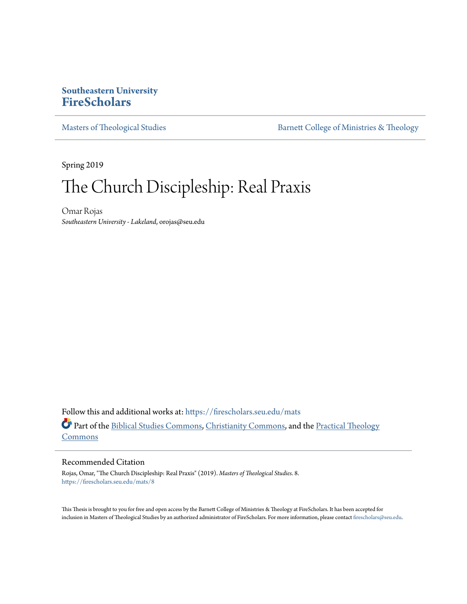# **Southeastern University [FireScholars](https://firescholars.seu.edu?utm_source=firescholars.seu.edu%2Fmats%2F8&utm_medium=PDF&utm_campaign=PDFCoverPages)**

[Masters of Theological Studies](https://firescholars.seu.edu/mats?utm_source=firescholars.seu.edu%2Fmats%2F8&utm_medium=PDF&utm_campaign=PDFCoverPages) and [Barnett College of Ministries & Theology](https://firescholars.seu.edu/ccmr?utm_source=firescholars.seu.edu%2Fmats%2F8&utm_medium=PDF&utm_campaign=PDFCoverPages)

Spring 2019

# The Church Discipleship: Real Praxis

Omar Rojas *Southeastern University - Lakeland*, orojas@seu.edu

Follow this and additional works at: [https://firescholars.seu.edu/mats](https://firescholars.seu.edu/mats?utm_source=firescholars.seu.edu%2Fmats%2F8&utm_medium=PDF&utm_campaign=PDFCoverPages) Part of the [Biblical Studies Commons,](http://network.bepress.com/hgg/discipline/539?utm_source=firescholars.seu.edu%2Fmats%2F8&utm_medium=PDF&utm_campaign=PDFCoverPages) [Christianity Commons,](http://network.bepress.com/hgg/discipline/1181?utm_source=firescholars.seu.edu%2Fmats%2F8&utm_medium=PDF&utm_campaign=PDFCoverPages) and the [Practical Theology](http://network.bepress.com/hgg/discipline/1186?utm_source=firescholars.seu.edu%2Fmats%2F8&utm_medium=PDF&utm_campaign=PDFCoverPages) [Commons](http://network.bepress.com/hgg/discipline/1186?utm_source=firescholars.seu.edu%2Fmats%2F8&utm_medium=PDF&utm_campaign=PDFCoverPages)

# Recommended Citation

Rojas, Omar, "The Church Discipleship: Real Praxis" (2019). *Masters of Theological Studies*. 8. [https://firescholars.seu.edu/mats/8](https://firescholars.seu.edu/mats/8?utm_source=firescholars.seu.edu%2Fmats%2F8&utm_medium=PDF&utm_campaign=PDFCoverPages)

This Thesis is brought to you for free and open access by the Barnett College of Ministries & Theology at FireScholars. It has been accepted for inclusion in Masters of Theological Studies by an authorized administrator of FireScholars. For more information, please contact [firescholars@seu.edu.](mailto:firescholars@seu.edu)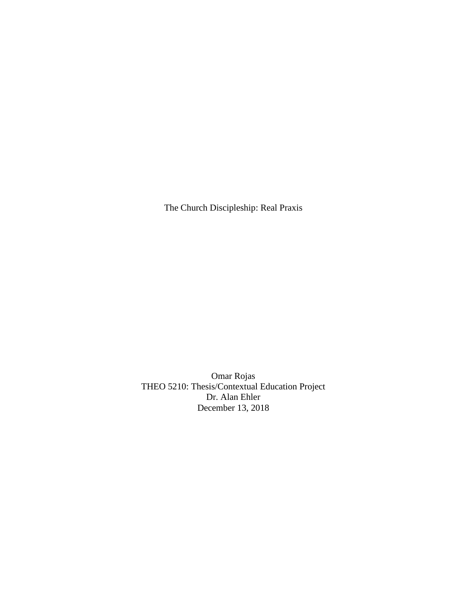The Church Discipleship: Real Praxis

Omar Rojas THEO 5210: Thesis/Contextual Education Project Dr. Alan Ehler December 13, 2018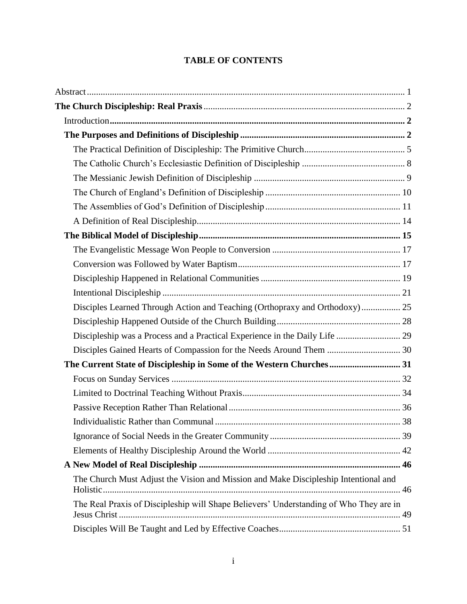# **TABLE OF CONTENTS**

| Disciples Learned Through Action and Teaching (Orthopraxy and Orthodoxy) 25            |  |
|----------------------------------------------------------------------------------------|--|
|                                                                                        |  |
| Discipleship was a Process and a Practical Experience in the Daily Life  29            |  |
|                                                                                        |  |
| The Current State of Discipleship in Some of the Western Churches 31                   |  |
|                                                                                        |  |
|                                                                                        |  |
|                                                                                        |  |
|                                                                                        |  |
|                                                                                        |  |
|                                                                                        |  |
|                                                                                        |  |
| The Church Must Adjust the Vision and Mission and Make Discipleship Intentional and    |  |
| The Real Praxis of Discipleship will Shape Believers' Understanding of Who They are in |  |
|                                                                                        |  |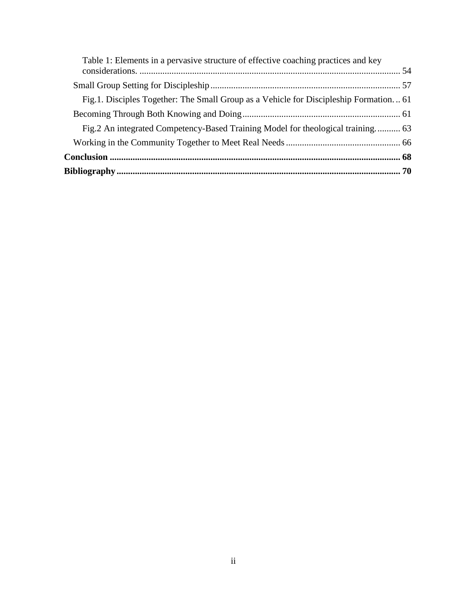| Table 1: Elements in a pervasive structure of effective coaching practices and key    |  |
|---------------------------------------------------------------------------------------|--|
|                                                                                       |  |
|                                                                                       |  |
| Fig.1. Disciples Together: The Small Group as a Vehicle for Discipleship Formation 61 |  |
|                                                                                       |  |
| Fig.2 An integrated Competency-Based Training Model for theological training 63       |  |
|                                                                                       |  |
|                                                                                       |  |
|                                                                                       |  |
|                                                                                       |  |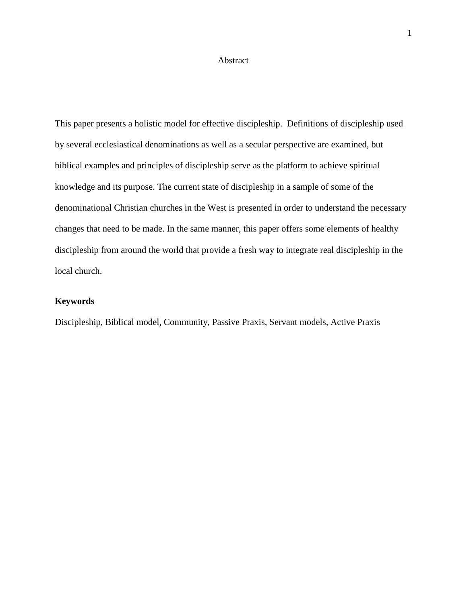#### Abstract

<span id="page-4-0"></span>This paper presents a holistic model for effective discipleship. Definitions of discipleship used by several ecclesiastical denominations as well as a secular perspective are examined, but biblical examples and principles of discipleship serve as the platform to achieve spiritual knowledge and its purpose. The current state of discipleship in a sample of some of the denominational Christian churches in the West is presented in order to understand the necessary changes that need to be made. In the same manner, this paper offers some elements of healthy discipleship from around the world that provide a fresh way to integrate real discipleship in the local church.

# **Keywords**

Discipleship, Biblical model, Community, Passive Praxis, Servant models, Active Praxis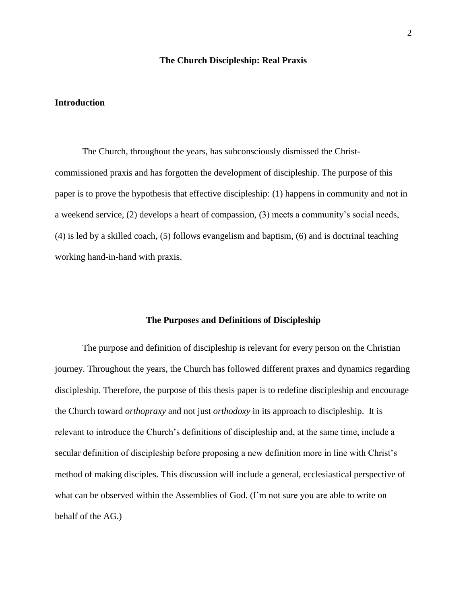# **The Church Discipleship: Real Praxis**

# <span id="page-5-1"></span><span id="page-5-0"></span>**Introduction**

The Church, throughout the years, has subconsciously dismissed the Christcommissioned praxis and has forgotten the development of discipleship. The purpose of this paper is to prove the hypothesis that effective discipleship: (1) happens in community and not in a weekend service, (2) develops a heart of compassion, (3) meets a community's social needs, (4) is led by a skilled coach, (5) follows evangelism and baptism, (6) and is doctrinal teaching working hand-in-hand with praxis.

#### **The Purposes and Definitions of Discipleship**

<span id="page-5-2"></span>The purpose and definition of discipleship is relevant for every person on the Christian journey. Throughout the years, the Church has followed different praxes and dynamics regarding discipleship. Therefore, the purpose of this thesis paper is to redefine discipleship and encourage the Church toward *orthopraxy* and not just *orthodoxy* in its approach to discipleship. It is relevant to introduce the Church's definitions of discipleship and, at the same time, include a secular definition of discipleship before proposing a new definition more in line with Christ's method of making disciples. This discussion will include a general, ecclesiastical perspective of what can be observed within the Assemblies of God. (I'm not sure you are able to write on behalf of the AG.)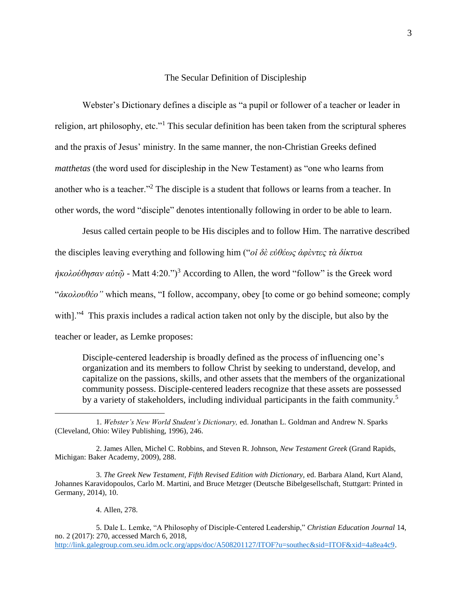## The Secular Definition of Discipleship

Webster's Dictionary defines a disciple as "a pupil or follower of a teacher or leader in religion, art philosophy, etc."<sup>1</sup> This secular definition has been taken from the scriptural spheres and the praxis of Jesus' ministry. In the same manner, the non-Christian Greeks defined *matthetas* (the word used for discipleship in the New Testament) as "one who learns from another who is a teacher."<sup>2</sup> The disciple is a student that follows or learns from a teacher. In other words, the word "disciple" denotes intentionally following in order to be able to learn.

Jesus called certain people to be His disciples and to follow Him. The narrative described the disciples leaving everything and following him ("*οἰ δὲ εὐθέως ἀφὲντες τὰ δίκτυα*   $ύθησαν αὐτῷ - Matt 4:20.")<sup>3</sup> According to Allen, the word "follow" is the Greek word$ "*ἀκολουθέο"* which means, "I follow, accompany, obey [to come or go behind someone; comply with]."<sup>4</sup> This praxis includes a radical action taken not only by the disciple, but also by the teacher or leader, as Lemke proposes:

Disciple-centered leadership is broadly defined as the process of influencing one's organization and its members to follow Christ by seeking to understand, develop, and capitalize on the passions, skills, and other assets that the members of the organizational community possess. Disciple-centered leaders recognize that these assets are possessed by a variety of stakeholders, including individual participants in the faith community.<sup>5</sup>

4. Allen, 278.

<sup>1.</sup> *Webster's New World Student's Dictionary,* ed. Jonathan L. Goldman and Andrew N. Sparks (Cleveland, Ohio: Wiley Publishing, 1996), 246.

<sup>2.</sup> James Allen, Michel C. Robbins, and Steven R. Johnson, *New Testament Greek* (Grand Rapids, Michigan: Baker Academy, 2009), 288.

<sup>3.</sup> *The Greek New Testament, Fifth Revised Edition with Dictionary,* ed. Barbara Aland, Kurt Aland, Johannes Karavidopoulos, Carlo M. Martini, and Bruce Metzger (Deutsche Bibelgesellschaft, Stuttgart: Printed in Germany, 2014), 10.

<sup>5.</sup> Dale L. Lemke, "A Philosophy of Disciple-Centered Leadership," *Christian Education Journal* 14, no. 2 (2017): 270, accessed March 6, 2018, [http://link.galegroup.com.seu.idm.oclc.org/apps/doc/A508201127/ITOF?u=southec&sid=ITOF&xid=4a8ea4c9.](http://link.galegroup.com.seu.idm.oclc.org/apps/doc/A508201127/ITOF?u=southec&sid=ITOF&xid=4a8ea4c9)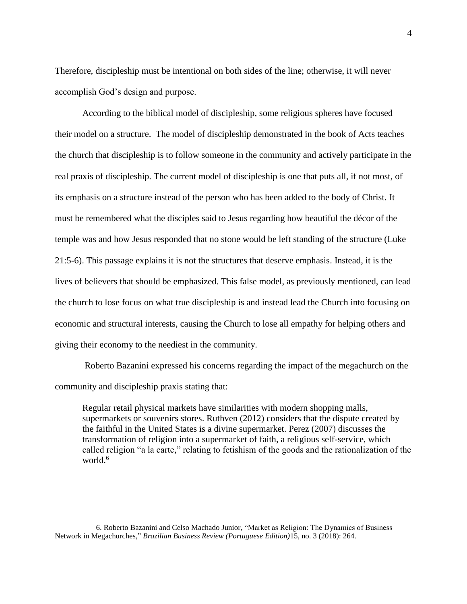Therefore, discipleship must be intentional on both sides of the line; otherwise, it will never accomplish God's design and purpose.

According to the biblical model of discipleship, some religious spheres have focused their model on a structure. The model of discipleship demonstrated in the book of Acts teaches the church that discipleship is to follow someone in the community and actively participate in the real praxis of discipleship. The current model of discipleship is one that puts all, if not most, of its emphasis on a structure instead of the person who has been added to the body of Christ. It must be remembered what the disciples said to Jesus regarding how beautiful the décor of the temple was and how Jesus responded that no stone would be left standing of the structure (Luke 21:5-6). This passage explains it is not the structures that deserve emphasis. Instead, it is the lives of believers that should be emphasized. This false model, as previously mentioned, can lead the church to lose focus on what true discipleship is and instead lead the Church into focusing on economic and structural interests, causing the Church to lose all empathy for helping others and giving their economy to the neediest in the community.

Roberto Bazanini expressed his concerns regarding the impact of the megachurch on the community and discipleship praxis stating that:

Regular retail physical markets have similarities with modern shopping malls, supermarkets or souvenirs stores. Ruthven (2012) considers that the dispute created by the faithful in the United States is a divine supermarket. Perez (2007) discusses the transformation of religion into a supermarket of faith, a religious self-service, which called religion "a la carte," relating to fetishism of the goods and the rationalization of the world.<sup>6</sup>

<sup>6.</sup> Roberto Bazanini and Celso Machado Junior, "Market as Religion: The Dynamics of Business Network in Megachurches," *Brazilian Business Review (Portuguese Edition)*15, no. 3 (2018): 264.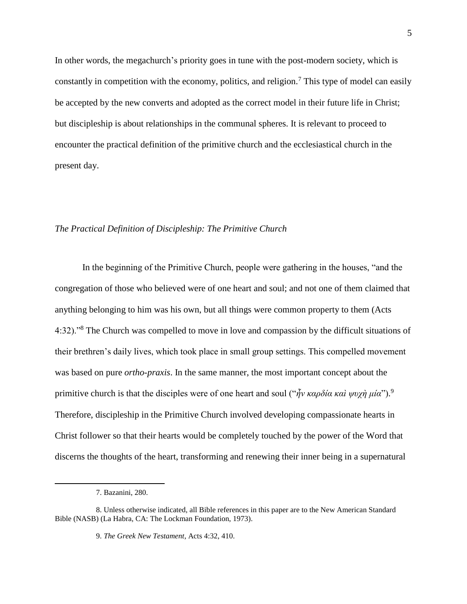In other words, the megachurch's priority goes in tune with the post-modern society, which is constantly in competition with the economy, politics, and religion.<sup>7</sup> This type of model can easily be accepted by the new converts and adopted as the correct model in their future life in Christ; but discipleship is about relationships in the communal spheres. It is relevant to proceed to encounter the practical definition of the primitive church and the ecclesiastical church in the present day.

# <span id="page-8-0"></span>*The Practical Definition of Discipleship: The Primitive Church*

In the beginning of the Primitive Church, people were gathering in the houses, "and the congregation of those who believed were of one heart and soul; and not one of them claimed that anything belonging to him was his own, but all things were common property to them (Acts 4:32)."<sup>8</sup> The Church was compelled to move in love and compassion by the difficult situations of their brethren's daily lives, which took place in small group settings. This compelled movement was based on pure *ortho-praxis*. In the same manner, the most important concept about the primitive church is that the disciples were of one heart and soul ("*ἦν καρδία καὶ ψυχὴ μία*"). 9 Therefore, discipleship in the Primitive Church involved developing compassionate hearts in Christ follower so that their hearts would be completely touched by the power of the Word that discerns the thoughts of the heart, transforming and renewing their inner being in a supernatural

<sup>7.</sup> Bazanini, 280.

<sup>8.</sup> Unless otherwise indicated, all Bible references in this paper are to the New American Standard Bible (NASB) (La Habra, CA: The Lockman Foundation, 1973).

<sup>9.</sup> *The Greek New Testament*, Acts 4:32, 410.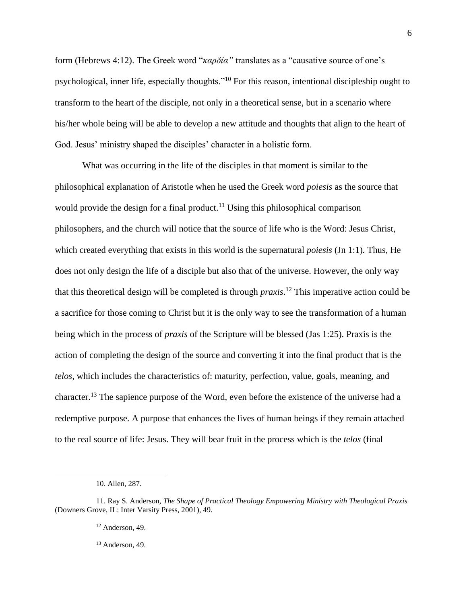form (Hebrews 4:12). The Greek word "*καρδία"* translates as a "causative source of one's psychological, inner life, especially thoughts."<sup>10</sup> For this reason, intentional discipleship ought to transform to the heart of the disciple, not only in a theoretical sense, but in a scenario where his/her whole being will be able to develop a new attitude and thoughts that align to the heart of God. Jesus' ministry shaped the disciples' character in a holistic form.

What was occurring in the life of the disciples in that moment is similar to the philosophical explanation of Aristotle when he used the Greek word *poiesis* as the source that would provide the design for a final product.<sup>11</sup> Using this philosophical comparison philosophers, and the church will notice that the source of life who is the Word: Jesus Christ, which created everything that exists in this world is the supernatural *poiesis* (Jn 1:1)*.* Thus, He does not only design the life of a disciple but also that of the universe. However, the only way that this theoretical design will be completed is through *praxis*. <sup>12</sup> This imperative action could be a sacrifice for those coming to Christ but it is the only way to see the transformation of a human being which in the process of *praxis* of the Scripture will be blessed (Jas 1:25). Praxis is the action of completing the design of the source and converting it into the final product that is the *telos,* which includes the characteristics of: maturity, perfection, value, goals, meaning, and character.<sup>13</sup> The sapience purpose of the Word, even before the existence of the universe had a redemptive purpose. A purpose that enhances the lives of human beings if they remain attached to the real source of life: Jesus. They will bear fruit in the process which is the *telos* (final

 $\overline{a}$ 

6

<sup>13</sup> Anderson, 49.

<sup>10.</sup> Allen, 287.

<sup>11.</sup> Ray S. Anderson, *The Shape of Practical Theology Empowering Ministry with Theological Praxis*  (Downers Grove, IL: Inter Varsity Press, 2001), 49.

<sup>&</sup>lt;sup>12</sup> Anderson, 49.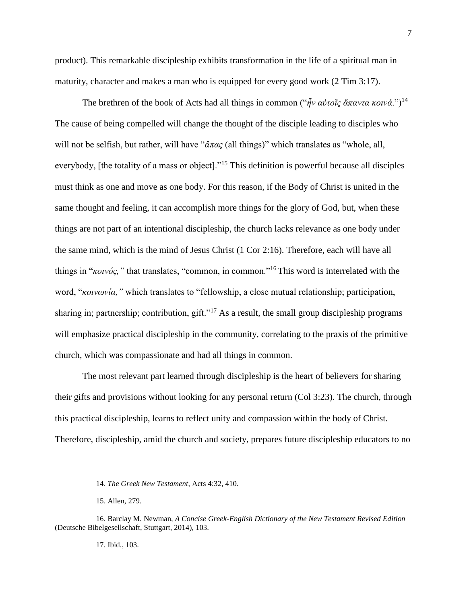product). This remarkable discipleship exhibits transformation in the life of a spiritual man in maturity, character and makes a man who is equipped for every good work (2 Tim 3:17).

The brethren of the book of Acts had all things in common (" $\hat{n}$ ν αὐτοῖς ἄπαντα κοινά.")<sup>14</sup> The cause of being compelled will change the thought of the disciple leading to disciples who will not be selfish, but rather, will have "*ἅπας* (all things)" which translates as "whole, all, everybody, [the totality of a mass or object]."<sup>15</sup> This definition is powerful because all disciples must think as one and move as one body. For this reason, if the Body of Christ is united in the same thought and feeling, it can accomplish more things for the glory of God, but, when these things are not part of an intentional discipleship, the church lacks relevance as one body under the same mind, which is the mind of Jesus Christ (1 Cor 2:16). Therefore, each will have all things in "*κοινός,"* that translates, "common, in common."<sup>16</sup> This word is interrelated with the word, "*κοινωνία,"* which translates to "fellowship, a close mutual relationship; participation, sharing in; partnership; contribution, gift."<sup>17</sup> As a result, the small group discipleship programs will emphasize practical discipleship in the community, correlating to the praxis of the primitive church, which was compassionate and had all things in common.

The most relevant part learned through discipleship is the heart of believers for sharing their gifts and provisions without looking for any personal return (Col 3:23). The church, through this practical discipleship, learns to reflect unity and compassion within the body of Christ. Therefore, discipleship, amid the church and society, prepares future discipleship educators to no

 $\overline{a}$ 

17. Ibid., 103.

<sup>14.</sup> *The Greek New Testament*, Acts 4:32, 410.

<sup>15.</sup> Allen, 279.

<sup>16.</sup> Barclay M. Newman, *A Concise Greek-English Dictionary of the New Testament Revised Edition*  (Deutsche Bibelgesellschaft, Stuttgart, 2014), 103.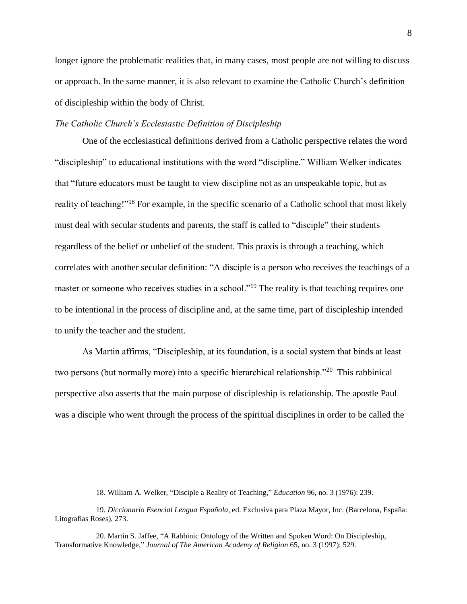longer ignore the problematic realities that, in many cases, most people are not willing to discuss or approach. In the same manner, it is also relevant to examine the Catholic Church's definition of discipleship within the body of Christ.

# <span id="page-11-0"></span>*The Catholic Church's Ecclesiastic Definition of Discipleship*

One of the ecclesiastical definitions derived from a Catholic perspective relates the word "discipleship" to educational institutions with the word "discipline." William Welker indicates that "future educators must be taught to view discipline not as an unspeakable topic, but as reality of teaching!"<sup>18</sup> For example, in the specific scenario of a Catholic school that most likely must deal with secular students and parents, the staff is called to "disciple" their students regardless of the belief or unbelief of the student. This praxis is through a teaching, which correlates with another secular definition: "A disciple is a person who receives the teachings of a master or someone who receives studies in a school."<sup>19</sup> The reality is that teaching requires one to be intentional in the process of discipline and, at the same time, part of discipleship intended to unify the teacher and the student.

As Martin affirms, "Discipleship, at its foundation, is a social system that binds at least two persons (but normally more) into a specific hierarchical relationship."<sup>20</sup> This rabbinical perspective also asserts that the main purpose of discipleship is relationship. The apostle Paul was a disciple who went through the process of the spiritual disciplines in order to be called the

<sup>18.</sup> William A. Welker, "Disciple a Reality of Teaching," *Education* 96, no. 3 (1976): 239.

<sup>19.</sup> *Diccionario Esencial Lengua Española*, ed. Exclusiva para Plaza Mayor, Inc. (Barcelona, España: Litografías Roses), 273.

<sup>20.</sup> Martin S. Jaffee, "A Rabbinic Ontology of the Written and Spoken Word: On Discipleship, Transformative Knowledge," *Journal of The American Academy of Religion* 65, no. 3 (1997): 529.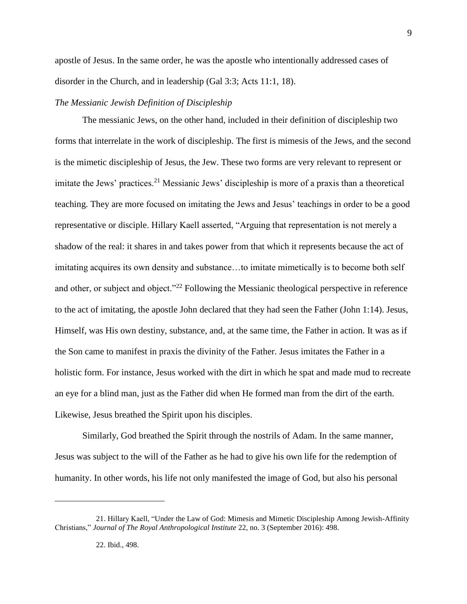apostle of Jesus. In the same order, he was the apostle who intentionally addressed cases of disorder in the Church, and in leadership (Gal 3:3; Acts 11:1, 18).

#### <span id="page-12-0"></span>*The Messianic Jewish Definition of Discipleship*

The messianic Jews, on the other hand, included in their definition of discipleship two forms that interrelate in the work of discipleship. The first is mimesis of the Jews, and the second is the mimetic discipleship of Jesus, the Jew. These two forms are very relevant to represent or imitate the Jews' practices.<sup>21</sup> Messianic Jews' discipleship is more of a praxis than a theoretical teaching. They are more focused on imitating the Jews and Jesus' teachings in order to be a good representative or disciple. Hillary Kaell asserted, "Arguing that representation is not merely a shadow of the real: it shares in and takes power from that which it represents because the act of imitating acquires its own density and substance…to imitate mimetically is to become both self and other, or subject and object."<sup>22</sup> Following the Messianic theological perspective in reference to the act of imitating, the apostle John declared that they had seen the Father (John 1:14). Jesus, Himself, was His own destiny, substance, and, at the same time, the Father in action. It was as if the Son came to manifest in praxis the divinity of the Father. Jesus imitates the Father in a holistic form. For instance, Jesus worked with the dirt in which he spat and made mud to recreate an eye for a blind man, just as the Father did when He formed man from the dirt of the earth. Likewise, Jesus breathed the Spirit upon his disciples.

Similarly, God breathed the Spirit through the nostrils of Adam. In the same manner, Jesus was subject to the will of the Father as he had to give his own life for the redemption of humanity. In other words, his life not only manifested the image of God, but also his personal

<sup>21.</sup> Hillary Kaell, "Under the Law of God: Mimesis and Mimetic Discipleship Among Jewish-Affinity Christians," *Journal of The Royal Anthropological Institute* 22, no. 3 (September 2016): 498.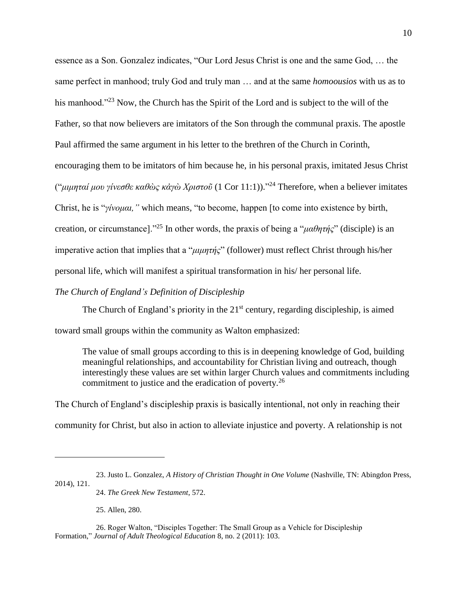essence as a Son. Gonzalez indicates, "Our Lord Jesus Christ is one and the same God, … the same perfect in manhood; truly God and truly man … and at the same *homoousios* with us as to his manhood."<sup>23</sup> Now, the Church has the Spirit of the Lord and is subject to the will of the Father, so that now believers are imitators of the Son through the communal praxis. The apostle Paul affirmed the same argument in his letter to the brethren of the Church in Corinth, encouraging them to be imitators of him because he, in his personal praxis, imitated Jesus Christ ("*μιμηταί μου γίνεσθε καθὼς κἀγὼ Χριστοῦ* (1 Cor 11:1))." <sup>24</sup> Therefore, when a believer imitates Christ, he is "*γίνομαι,"* which means*,* "to become, happen [to come into existence by birth, creation, or circumstance]."<sup>25</sup> In other words, the praxis of being a "*μαθητής*" (disciple) is an imperative action that implies that a "*μιμητής*" (follower) must reflect Christ through his/her personal life, which will manifest a spiritual transformation in his/ her personal life.

# <span id="page-13-0"></span>*The Church of England's Definition of Discipleship*

The Church of England's priority in the  $21<sup>st</sup>$  century, regarding discipleship, is aimed toward small groups within the community as Walton emphasized:

The value of small groups according to this is in deepening knowledge of God, building meaningful relationships, and accountability for Christian living and outreach, though interestingly these values are set within larger Church values and commitments including commitment to justice and the eradication of poverty.<sup>26</sup>

The Church of England's discipleship praxis is basically intentional, not only in reaching their community for Christ, but also in action to alleviate injustice and poverty. A relationship is not

24. *The Greek New Testament*, 572.

25. Allen, 280.

<sup>23.</sup> Justo L. Gonzalez, *A History of Christian Thought in One Volume* (Nashville, TN: Abingdon Press, 2014), 121.

<sup>26.</sup> Roger Walton, "Disciples Together: The Small Group as a Vehicle for Discipleship Formation," *Journal of Adult Theological Education* 8, no. 2 (2011): 103.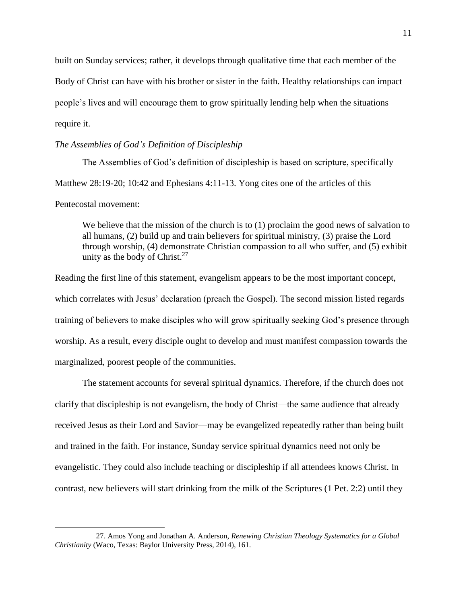built on Sunday services; rather, it develops through qualitative time that each member of the Body of Christ can have with his brother or sister in the faith. Healthy relationships can impact people's lives and will encourage them to grow spiritually lending help when the situations require it.

# <span id="page-14-0"></span>*The Assemblies of God's Definition of Discipleship*

 $\overline{a}$ 

The Assemblies of God's definition of discipleship is based on scripture, specifically Matthew 28:19-20; 10:42 and Ephesians 4:11-13. Yong cites one of the articles of this Pentecostal movement:

We believe that the mission of the church is to (1) proclaim the good news of salvation to all humans, (2) build up and train believers for spiritual ministry, (3) praise the Lord through worship, (4) demonstrate Christian compassion to all who suffer, and (5) exhibit unity as the body of Christ. $27$ 

Reading the first line of this statement, evangelism appears to be the most important concept, which correlates with Jesus' declaration (preach the Gospel). The second mission listed regards training of believers to make disciples who will grow spiritually seeking God's presence through worship. As a result, every disciple ought to develop and must manifest compassion towards the marginalized, poorest people of the communities.

The statement accounts for several spiritual dynamics. Therefore, if the church does not clarify that discipleship is not evangelism, the body of Christ—the same audience that already received Jesus as their Lord and Savior—may be evangelized repeatedly rather than being built and trained in the faith. For instance, Sunday service spiritual dynamics need not only be evangelistic. They could also include teaching or discipleship if all attendees knows Christ. In contrast, new believers will start drinking from the milk of the Scriptures (1 Pet. 2:2) until they

<sup>27.</sup> Amos Yong and Jonathan A. Anderson, *Renewing Christian Theology Systematics for a Global Christianity* (Waco, Texas: Baylor University Press, 2014), 161.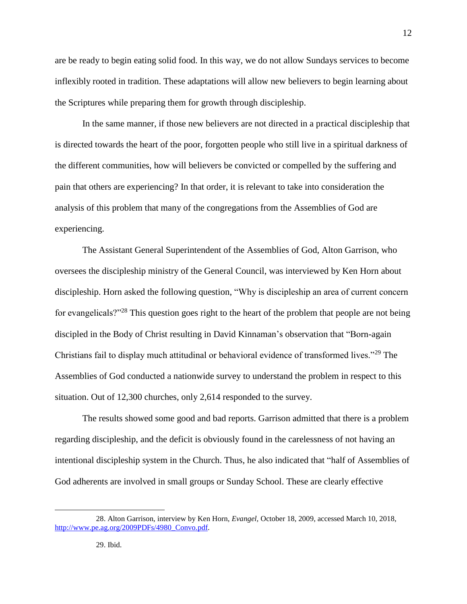are be ready to begin eating solid food. In this way, we do not allow Sundays services to become inflexibly rooted in tradition. These adaptations will allow new believers to begin learning about the Scriptures while preparing them for growth through discipleship.

In the same manner, if those new believers are not directed in a practical discipleship that is directed towards the heart of the poor, forgotten people who still live in a spiritual darkness of the different communities, how will believers be convicted or compelled by the suffering and pain that others are experiencing? In that order, it is relevant to take into consideration the analysis of this problem that many of the congregations from the Assemblies of God are experiencing.

The Assistant General Superintendent of the Assemblies of God, Alton Garrison, who oversees the discipleship ministry of the General Council, was interviewed by Ken Horn about discipleship. Horn asked the following question, "Why is discipleship an area of current concern for evangelicals?"<sup>28</sup> This question goes right to the heart of the problem that people are not being discipled in the Body of Christ resulting in David Kinnaman's observation that "Born-again Christians fail to display much attitudinal or behavioral evidence of transformed lives."<sup>29</sup> The Assemblies of God conducted a nationwide survey to understand the problem in respect to this situation. Out of 12,300 churches, only 2,614 responded to the survey.

The results showed some good and bad reports. Garrison admitted that there is a problem regarding discipleship, and the deficit is obviously found in the carelessness of not having an intentional discipleship system in the Church. Thus, he also indicated that "half of Assemblies of God adherents are involved in small groups or Sunday School. These are clearly effective

<sup>28.</sup> Alton Garrison, interview by Ken Horn, *Evangel,* October 18, 2009, accessed March 10, 2018, [http://www.pe.ag.org/2009PDFs/4980\\_Convo.pdf.](http://www.pe.ag.org/2009PDFs/4980_Convo.pdf)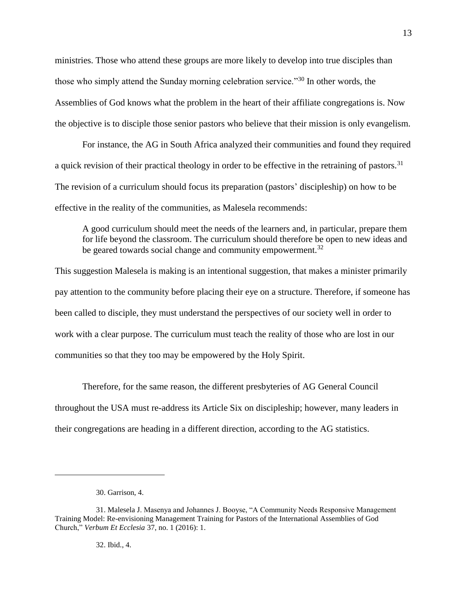ministries. Those who attend these groups are more likely to develop into true disciples than those who simply attend the Sunday morning celebration service."<sup>30</sup> In other words, the Assemblies of God knows what the problem in the heart of their affiliate congregations is. Now the objective is to disciple those senior pastors who believe that their mission is only evangelism.

For instance, the AG in South Africa analyzed their communities and found they required a quick revision of their practical theology in order to be effective in the retraining of pastors.<sup>31</sup> The revision of a curriculum should focus its preparation (pastors' discipleship) on how to be effective in the reality of the communities, as Malesela recommends:

A good curriculum should meet the needs of the learners and, in particular, prepare them for life beyond the classroom. The curriculum should therefore be open to new ideas and be geared towards social change and community empowerment.<sup>32</sup>

This suggestion Malesela is making is an intentional suggestion, that makes a minister primarily pay attention to the community before placing their eye on a structure. Therefore, if someone has been called to disciple, they must understand the perspectives of our society well in order to work with a clear purpose. The curriculum must teach the reality of those who are lost in our communities so that they too may be empowered by the Holy Spirit.

Therefore, for the same reason, the different presbyteries of AG General Council throughout the USA must re-address its Article Six on discipleship; however, many leaders in their congregations are heading in a different direction, according to the AG statistics.

 $\overline{a}$ 

32. Ibid., 4.

<sup>30.</sup> Garrison, 4.

<sup>31.</sup> Malesela J. Masenya and Johannes J. Booyse, "A Community Needs Responsive Management Training Model: Re-envisioning Management Training for Pastors of the International Assemblies of God Church," *Verbum Et Ecclesia* 37, no. 1 (2016): 1.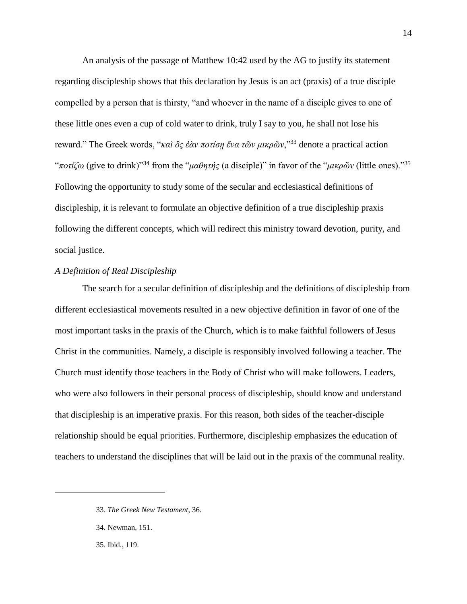An analysis of the passage of Matthew 10:42 used by the AG to justify its statement regarding discipleship shows that this declaration by Jesus is an act (praxis) of a true disciple compelled by a person that is thirsty, "and whoever in the name of a disciple gives to one of these little ones even a cup of cold water to drink, truly I say to you, he shall not lose his reward." The Greek words, "*καὶ ὃς ἐὰν ποτίσῃ ἕνα τῶν μικρῶν*,"<sup>33</sup> denote a practical action "*ποτίζω* (give to drink)"<sup>34</sup> from the "*μαθητής* (a disciple)" in favor of the "*μικρῶν* (little ones)."<sup>35</sup> Following the opportunity to study some of the secular and ecclesiastical definitions of discipleship, it is relevant to formulate an objective definition of a true discipleship praxis following the different concepts, which will redirect this ministry toward devotion, purity, and social justice.

# <span id="page-17-0"></span>*A Definition of Real Discipleship*

The search for a secular definition of discipleship and the definitions of discipleship from different ecclesiastical movements resulted in a new objective definition in favor of one of the most important tasks in the praxis of the Church, which is to make faithful followers of Jesus Christ in the communities. Namely, a disciple is responsibly involved following a teacher. The Church must identify those teachers in the Body of Christ who will make followers. Leaders, who were also followers in their personal process of discipleship, should know and understand that discipleship is an imperative praxis. For this reason, both sides of the teacher-disciple relationship should be equal priorities. Furthermore, discipleship emphasizes the education of teachers to understand the disciplines that will be laid out in the praxis of the communal reality.

<sup>33.</sup> *The Greek New Testament*, 36.

<sup>34.</sup> Newman, 151.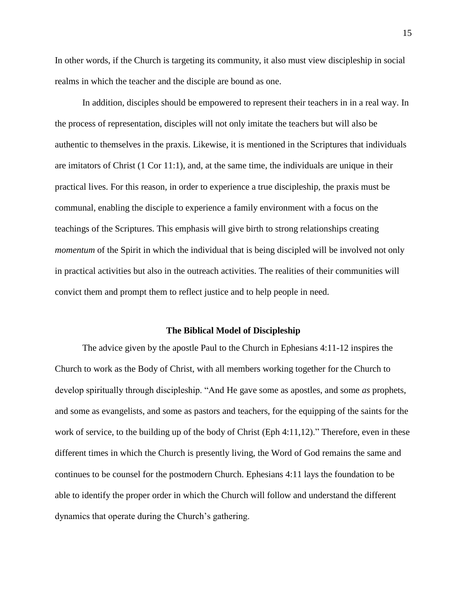In other words, if the Church is targeting its community, it also must view discipleship in social realms in which the teacher and the disciple are bound as one.

In addition, disciples should be empowered to represent their teachers in in a real way. In the process of representation, disciples will not only imitate the teachers but will also be authentic to themselves in the praxis. Likewise, it is mentioned in the Scriptures that individuals are imitators of Christ (1 Cor 11:1), and, at the same time, the individuals are unique in their practical lives. For this reason, in order to experience a true discipleship, the praxis must be communal, enabling the disciple to experience a family environment with a focus on the teachings of the Scriptures. This emphasis will give birth to strong relationships creating *momentum* of the Spirit in which the individual that is being discipled will be involved not only in practical activities but also in the outreach activities. The realities of their communities will convict them and prompt them to reflect justice and to help people in need.

#### **The Biblical Model of Discipleship**

<span id="page-18-0"></span>The advice given by the apostle Paul to the Church in Ephesians 4:11-12 inspires the Church to work as the Body of Christ, with all members working together for the Church to develop spiritually through discipleship. "And He gave some as apostles, and some *as* prophets, and some as evangelists, and some as pastors and teachers, for the equipping of the saints for the work of service, to the building up of the body of Christ (Eph 4:11,12)." Therefore, even in these different times in which the Church is presently living, the Word of God remains the same and continues to be counsel for the postmodern Church. Ephesians 4:11 lays the foundation to be able to identify the proper order in which the Church will follow and understand the different dynamics that operate during the Church's gathering.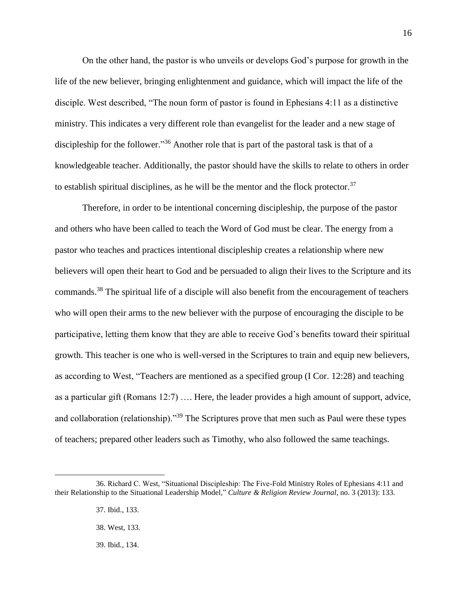On the other hand, the pastor is who unveils or develops God's purpose for growth in the life of the new believer, bringing enlightenment and guidance, which will impact the life of the disciple. West described, "The noun form of pastor is found in Ephesians 4:11 as a distinctive ministry. This indicates a very different role than evangelist for the leader and a new stage of discipleship for the follower."<sup>36</sup> Another role that is part of the pastoral task is that of a knowledgeable teacher. Additionally, the pastor should have the skills to relate to others in order to establish spiritual disciplines, as he will be the mentor and the flock protector.<sup>37</sup>

Therefore, in order to be intentional concerning discipleship, the purpose of the pastor and others who have been called to teach the Word of God must be clear. The energy from a pastor who teaches and practices intentional discipleship creates a relationship where new believers will open their heart to God and be persuaded to align their lives to the Scripture and its commands.<sup>38</sup> The spiritual life of a disciple will also benefit from the encouragement of teachers who will open their arms to the new believer with the purpose of encouraging the disciple to be participative, letting them know that they are able to receive God's benefits toward their spiritual growth. This teacher is one who is well-versed in the Scriptures to train and equip new believers, as according to West, "Teachers are mentioned as a specified group (I Cor. 12:28) and teaching as a particular gift (Romans 12:7) …. Here, the leader provides a high amount of support, advice, and collaboration (relationship)."<sup>39</sup> The Scriptures prove that men such as Paul were these types of teachers; prepared other leaders such as Timothy, who also followed the same teachings.

<sup>36.</sup> Richard C. West, "Situational Discipleship: The Five-Fold Ministry Roles of Ephesians 4:11 and their Relationship to the Situational Leadership Model," *Culture & Religion Review Journal*, no. 3 (2013): 133.

<sup>37.</sup> Ibid., 133.

<sup>38.</sup> West, 133.

<sup>39.</sup> Ibid., 134.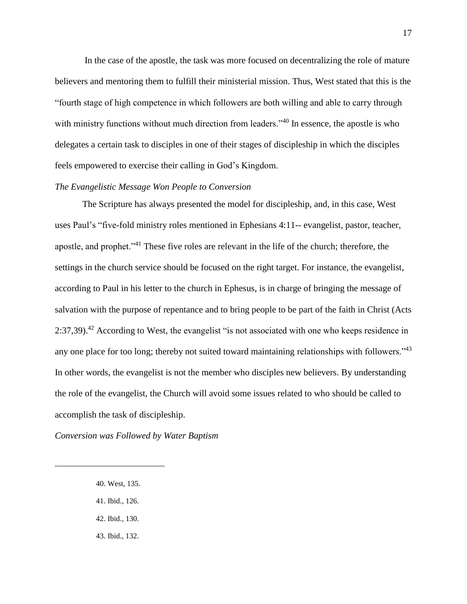In the case of the apostle, the task was more focused on decentralizing the role of mature believers and mentoring them to fulfill their ministerial mission. Thus, West stated that this is the "fourth stage of high competence in which followers are both willing and able to carry through with ministry functions without much direction from leaders."<sup>40</sup> In essence, the apostle is who delegates a certain task to disciples in one of their stages of discipleship in which the disciples feels empowered to exercise their calling in God's Kingdom.

#### <span id="page-20-0"></span>*The Evangelistic Message Won People to Conversion*

The Scripture has always presented the model for discipleship, and, in this case, West uses Paul's "five-fold ministry roles mentioned in Ephesians 4:11-- evangelist, pastor, teacher, apostle, and prophet."<sup>41</sup> These five roles are relevant in the life of the church; therefore, the settings in the church service should be focused on the right target. For instance, the evangelist, according to Paul in his letter to the church in Ephesus, is in charge of bringing the message of salvation with the purpose of repentance and to bring people to be part of the faith in Christ (Acts 2:37,39).<sup>42</sup> According to West, the evangelist "is not associated with one who keeps residence in any one place for too long; thereby not suited toward maintaining relationships with followers."<sup>43</sup> In other words, the evangelist is not the member who disciples new believers. By understanding the role of the evangelist, the Church will avoid some issues related to who should be called to accomplish the task of discipleship.

<span id="page-20-1"></span>*Conversion was Followed by Water Baptism*

40. West, 135.

- 41. Ibid., 126.
- 42. Ibid., 130.
- 43. Ibid., 132.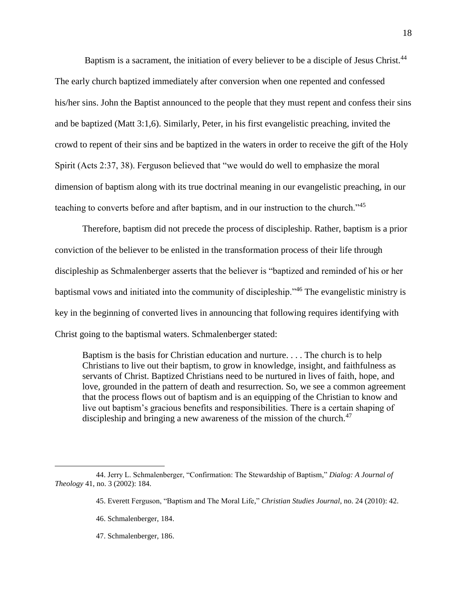Baptism is a sacrament, the initiation of every believer to be a disciple of Jesus Christ.<sup>44</sup> The early church baptized immediately after conversion when one repented and confessed his/her sins. John the Baptist announced to the people that they must repent and confess their sins and be baptized (Matt 3:1,6). Similarly, Peter, in his first evangelistic preaching, invited the crowd to repent of their sins and be baptized in the waters in order to receive the gift of the Holy Spirit (Acts 2:37, 38). Ferguson believed that "we would do well to emphasize the moral dimension of baptism along with its true doctrinal meaning in our evangelistic preaching, in our teaching to converts before and after baptism, and in our instruction to the church."<sup>45</sup>

Therefore, baptism did not precede the process of discipleship. Rather, baptism is a prior conviction of the believer to be enlisted in the transformation process of their life through discipleship as Schmalenberger asserts that the believer is "baptized and reminded of his or her baptismal vows and initiated into the community of discipleship."<sup>46</sup> The evangelistic ministry is key in the beginning of converted lives in announcing that following requires identifying with Christ going to the baptismal waters. Schmalenberger stated:

Baptism is the basis for Christian education and nurture. . . . The church is to help Christians to live out their baptism, to grow in knowledge, insight, and faithfulness as servants of Christ. Baptized Christians need to be nurtured in lives of faith, hope, and love, grounded in the pattern of death and resurrection. So, we see a common agreement that the process flows out of baptism and is an equipping of the Christian to know and live out baptism's gracious benefits and responsibilities. There is a certain shaping of discipleship and bringing a new awareness of the mission of the church.<sup>47</sup>

 $\overline{a}$ 

47. Schmalenberger, 186.

<sup>44.</sup> Jerry L. Schmalenberger, "Confirmation: The Stewardship of Baptism," *Dialog: A Journal of Theology* 41, no. 3 (2002): 184.

<sup>45.</sup> Everett Ferguson, "Baptism and The Moral Life," *Christian Studies Journal*, no. 24 (2010): 42.

<sup>46.</sup> Schmalenberger, 184.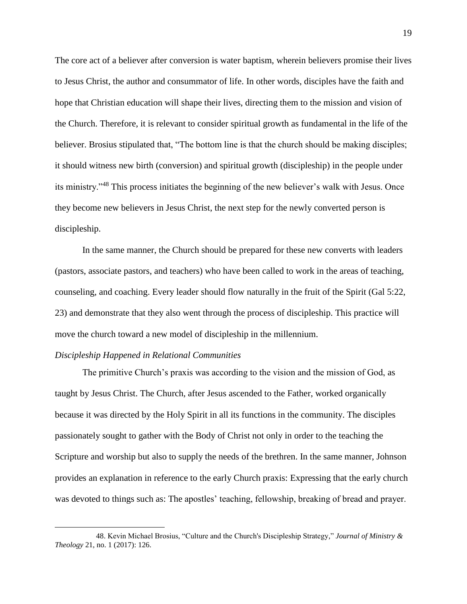The core act of a believer after conversion is water baptism, wherein believers promise their lives to Jesus Christ, the author and consummator of life. In other words, disciples have the faith and hope that Christian education will shape their lives, directing them to the mission and vision of the Church. Therefore, it is relevant to consider spiritual growth as fundamental in the life of the believer. Brosius stipulated that, "The bottom line is that the church should be making disciples; it should witness new birth (conversion) and spiritual growth (discipleship) in the people under its ministry."<sup>48</sup> This process initiates the beginning of the new believer's walk with Jesus. Once they become new believers in Jesus Christ, the next step for the newly converted person is discipleship.

In the same manner, the Church should be prepared for these new converts with leaders (pastors, associate pastors, and teachers) who have been called to work in the areas of teaching, counseling, and coaching. Every leader should flow naturally in the fruit of the Spirit (Gal 5:22, 23) and demonstrate that they also went through the process of discipleship. This practice will move the church toward a new model of discipleship in the millennium.

# <span id="page-22-0"></span>*Discipleship Happened in Relational Communities*

 $\overline{a}$ 

The primitive Church's praxis was according to the vision and the mission of God, as taught by Jesus Christ. The Church, after Jesus ascended to the Father, worked organically because it was directed by the Holy Spirit in all its functions in the community. The disciples passionately sought to gather with the Body of Christ not only in order to the teaching the Scripture and worship but also to supply the needs of the brethren. In the same manner, Johnson provides an explanation in reference to the early Church praxis: Expressing that the early church was devoted to things such as: The apostles' teaching, fellowship, breaking of bread and prayer.

<sup>48.</sup> Kevin Michael Brosius, "Culture and the Church's Discipleship Strategy," *Journal of Ministry & Theology* 21, no. 1 (2017): 126.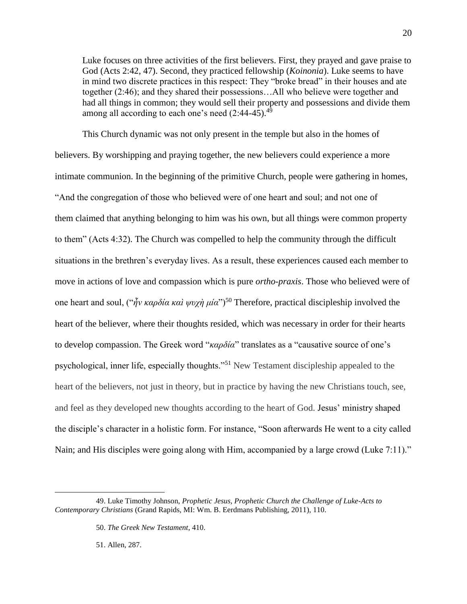Luke focuses on three activities of the first believers. First, they prayed and gave praise to God (Acts 2:42, 47). Second, they practiced fellowship (*Koinonia*). Luke seems to have in mind two discrete practices in this respect: They "broke bread" in their houses and ate together (2:46); and they shared their possessions…All who believe were together and had all things in common; they would sell their property and possessions and divide them among all according to each one's need  $(2.44-45).$ <sup>49</sup>

This Church dynamic was not only present in the temple but also in the homes of believers. By worshipping and praying together, the new believers could experience a more intimate communion. In the beginning of the primitive Church, people were gathering in homes, "And the congregation of those who believed were of one heart and soul; and not one of them claimed that anything belonging to him was his own, but all things were common property to them" (Acts 4:32). The Church was compelled to help the community through the difficult situations in the brethren's everyday lives. As a result, these experiences caused each member to move in actions of love and compassion which is pure *ortho-praxis*. Those who believed were of one heart and soul, ("*ἦν καρδία καὶ ψυχὴ μία*")<sup>50</sup> Therefore, practical discipleship involved the heart of the believer, where their thoughts resided, which was necessary in order for their hearts to develop compassion. The Greek word "*καρδία*" translates as a "causative source of one's psychological, inner life, especially thoughts."<sup>51</sup> New Testament discipleship appealed to the heart of the believers, not just in theory, but in practice by having the new Christians touch, see, and feel as they developed new thoughts according to the heart of God. Jesus' ministry shaped the disciple's character in a holistic form. For instance, "Soon afterwards He went to a city called Nain; and His disciples were going along with Him, accompanied by a large crowd (Luke 7:11)."

51. Allen, 287.

<sup>49.</sup> Luke Timothy Johnson, *Prophetic Jesus, Prophetic Church the Challenge of Luke-Acts to Contemporary Christians* (Grand Rapids, MI: Wm. B. Eerdmans Publishing, 2011), 110.

<sup>50.</sup> *The Greek New Testament*, 410.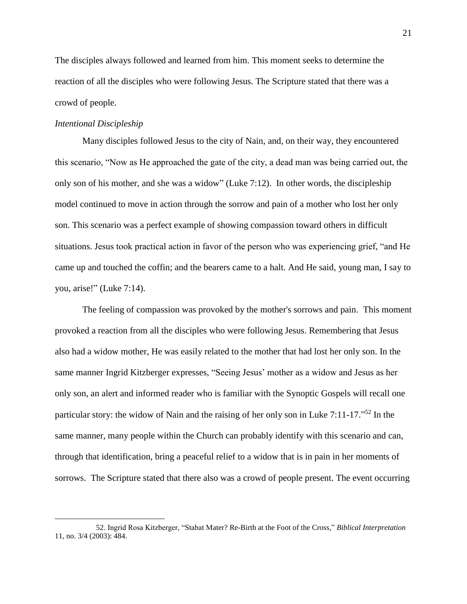The disciples always followed and learned from him. This moment seeks to determine the reaction of all the disciples who were following Jesus. The Scripture stated that there was a crowd of people.

# <span id="page-24-0"></span>*Intentional Discipleship*

 $\overline{a}$ 

Many disciples followed Jesus to the city of Nain, and, on their way, they encountered this scenario, "Now as He approached the gate of the city, a dead man was being carried out, the only son of his mother, and she was a widow" (Luke 7:12). In other words, the discipleship model continued to move in action through the sorrow and pain of a mother who lost her only son. This scenario was a perfect example of showing compassion toward others in difficult situations. Jesus took practical action in favor of the person who was experiencing grief, "and He came up and touched the coffin; and the bearers came to a halt. And He said, young man, I say to you, arise!" (Luke 7:14).

The feeling of compassion was provoked by the mother's sorrows and pain. This moment provoked a reaction from all the disciples who were following Jesus. Remembering that Jesus also had a widow mother, He was easily related to the mother that had lost her only son. In the same manner Ingrid Kitzberger expresses, "Seeing Jesus' mother as a widow and Jesus as her only son, an alert and informed reader who is familiar with the Synoptic Gospels will recall one particular story: the widow of Nain and the raising of her only son in Luke 7:11-17."<sup>52</sup> In the same manner, many people within the Church can probably identify with this scenario and can, through that identification, bring a peaceful relief to a widow that is in pain in her moments of sorrows. The Scripture stated that there also was a crowd of people present. The event occurring

<sup>52.</sup> Ingrid Rosa Kitzberger, "Stabat Mater? Re-Birth at the Foot of the Cross," *Biblical Interpretation* 11, no. 3/4 (2003): 484.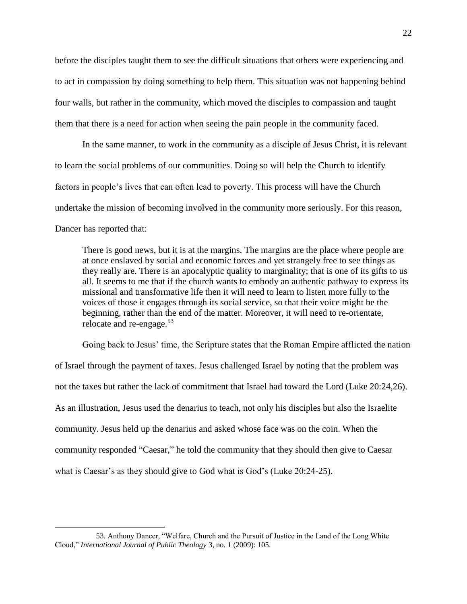before the disciples taught them to see the difficult situations that others were experiencing and to act in compassion by doing something to help them. This situation was not happening behind four walls, but rather in the community, which moved the disciples to compassion and taught them that there is a need for action when seeing the pain people in the community faced.

In the same manner, to work in the community as a disciple of Jesus Christ, it is relevant to learn the social problems of our communities. Doing so will help the Church to identify factors in people's lives that can often lead to poverty. This process will have the Church undertake the mission of becoming involved in the community more seriously. For this reason, Dancer has reported that:

There is good news, but it is at the margins. The margins are the place where people are at once enslaved by social and economic forces and yet strangely free to see things as they really are. There is an apocalyptic quality to marginality; that is one of its gifts to us all. It seems to me that if the church wants to embody an authentic pathway to express its missional and transformative life then it will need to learn to listen more fully to the voices of those it engages through its social service, so that their voice might be the beginning, rather than the end of the matter. Moreover, it will need to re-orientate, relocate and re-engage.<sup>53</sup>

Going back to Jesus' time, the Scripture states that the Roman Empire afflicted the nation of Israel through the payment of taxes. Jesus challenged Israel by noting that the problem was not the taxes but rather the lack of commitment that Israel had toward the Lord (Luke 20:24,26). As an illustration, Jesus used the denarius to teach, not only his disciples but also the Israelite community. Jesus held up the denarius and asked whose face was on the coin. When the community responded "Caesar," he told the community that they should then give to Caesar what is Caesar's as they should give to God what is God's (Luke 20:24-25).

<sup>53.</sup> Anthony Dancer, "Welfare, Church and the Pursuit of Justice in the Land of the Long White Cloud," *International Journal of Public Theology* 3, no. 1 (2009): 105.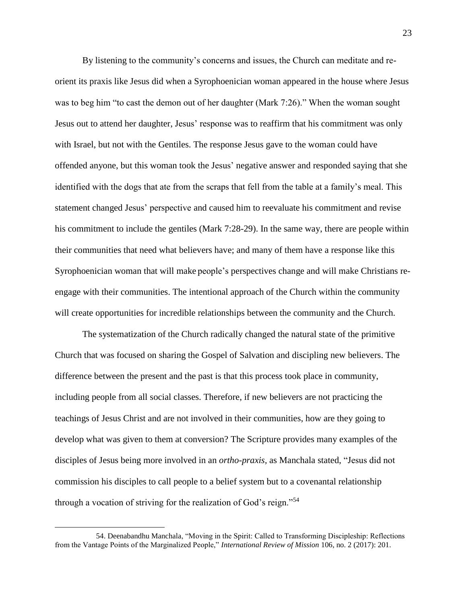By listening to the community's concerns and issues, the Church can meditate and reorient its praxis like Jesus did when a Syrophoenician woman appeared in the house where Jesus was to beg him "to cast the demon out of her daughter (Mark 7:26)." When the woman sought Jesus out to attend her daughter, Jesus' response was to reaffirm that his commitment was only with Israel, but not with the Gentiles. The response Jesus gave to the woman could have offended anyone, but this woman took the Jesus' negative answer and responded saying that she identified with the dogs that ate from the scraps that fell from the table at a family's meal. This statement changed Jesus' perspective and caused him to reevaluate his commitment and revise his commitment to include the gentiles (Mark 7:28-29). In the same way, there are people within their communities that need what believers have; and many of them have a response like this Syrophoenician woman that will make people's perspectives change and will make Christians reengage with their communities. The intentional approach of the Church within the community will create opportunities for incredible relationships between the community and the Church.

The systematization of the Church radically changed the natural state of the primitive Church that was focused on sharing the Gospel of Salvation and discipling new believers. The difference between the present and the past is that this process took place in community, including people from all social classes. Therefore, if new believers are not practicing the teachings of Jesus Christ and are not involved in their communities, how are they going to develop what was given to them at conversion? The Scripture provides many examples of the disciples of Jesus being more involved in an *ortho-praxis,* as Manchala stated, "Jesus did not commission his disciples to call people to a belief system but to a covenantal relationship through a vocation of striving for the realization of God's reign."<sup>54</sup>

<sup>54.</sup> Deenabandhu Manchala, "Moving in the Spirit: Called to Transforming Discipleship: Reflections from the Vantage Points of the Marginalized People," *International Review of Mission* 106, no. 2 (2017): 201.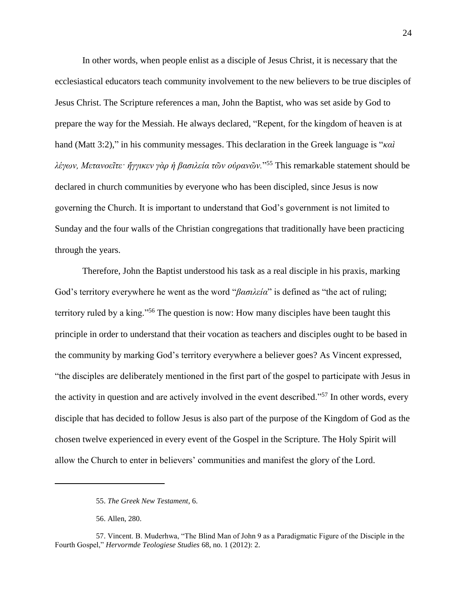In other words, when people enlist as a disciple of Jesus Christ, it is necessary that the ecclesiastical educators teach community involvement to the new believers to be true disciples of Jesus Christ. The Scripture references a man, John the Baptist, who was set aside by God to prepare the way for the Messiah. He always declared, "Repent, for the kingdom of heaven is at hand (Matt 3:2)," in his community messages. This declaration in the Greek language is "*καὶ λέγων, Μετανοεῖτε· ἤγγικεν γὰρ ἡ βασιλεία τῶν οὐρανῶν.*" <sup>55</sup> This remarkable statement should be declared in church communities by everyone who has been discipled, since Jesus is now governing the Church. It is important to understand that God's government is not limited to Sunday and the four walls of the Christian congregations that traditionally have been practicing through the years.

Therefore, John the Baptist understood his task as a real disciple in his praxis, marking God's territory everywhere he went as the word "*βασιλεία*" is defined as "the act of ruling; territory ruled by a king."<sup>56</sup> The question is now: How many disciples have been taught this principle in order to understand that their vocation as teachers and disciples ought to be based in the community by marking God's territory everywhere a believer goes? As Vincent expressed, "the disciples are deliberately mentioned in the first part of the gospel to participate with Jesus in the activity in question and are actively involved in the event described."<sup>57</sup> In other words, every disciple that has decided to follow Jesus is also part of the purpose of the Kingdom of God as the chosen twelve experienced in every event of the Gospel in the Scripture. The Holy Spirit will allow the Church to enter in believers' communities and manifest the glory of the Lord.

<sup>55.</sup> *The Greek New Testament*, 6.

<sup>56.</sup> Allen, 280.

<sup>57.</sup> Vincent. B. Muderhwa, "The Blind Man of John 9 as a Paradigmatic Figure of the Disciple in the Fourth Gospel," *Hervormde Teologiese Studies* 68, no. 1 (2012): 2.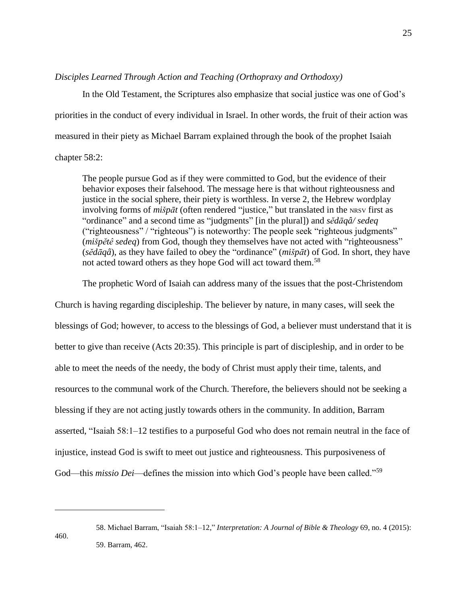# <span id="page-28-0"></span>*Disciples Learned Through Action and Teaching (Orthopraxy and Orthodoxy)*

In the Old Testament, the Scriptures also emphasize that social justice was one of God's priorities in the conduct of every individual in Israel. In other words, the fruit of their action was measured in their piety as Michael Barram explained through the book of the prophet Isaiah chapter 58:2:

The people pursue God as if they were committed to God, but the evidence of their behavior exposes their falsehood. The message here is that without righteousness and justice in the social sphere, their piety is worthless. In verse 2, the Hebrew wordplay involving forms of *mišpāt* (often rendered "justice," but translated in the NRSV first as "ordinance" and a second time as "judgments" [in the plural]) and *sĕdāqâ/ sedeq* ("righteousness" / "righteous") is noteworthy: The people seek "righteous judgments" (*mišpĕtê sedeq*) from God, though they themselves have not acted with "righteousness" (*sĕdāqâ*), as they have failed to obey the "ordinance" (*mišpāt*) of God. In short, they have not acted toward others as they hope God will act toward them.<sup>58</sup>

The prophetic Word of Isaiah can address many of the issues that the post-Christendom

Church is having regarding discipleship. The believer by nature, in many cases, will seek the blessings of God; however, to access to the blessings of God, a believer must understand that it is better to give than receive (Acts 20:35). This principle is part of discipleship, and in order to be able to meet the needs of the needy, the body of Christ must apply their time, talents, and resources to the communal work of the Church. Therefore, the believers should not be seeking a blessing if they are not acting justly towards others in the community. In addition, Barram asserted, "Isaiah 58:1–12 testifies to a purposeful God who does not remain neutral in the face of injustice, instead God is swift to meet out justice and righteousness. This purposiveness of God—this *missio Dei*—defines the mission into which God's people have been called."<sup>59</sup>

<sup>460.</sup>

<sup>58.</sup> Michael Barram, "Isaiah 58:1–12," *Interpretation: A Journal of Bible & Theology* 69, no. 4 (2015): 59. Barram, 462.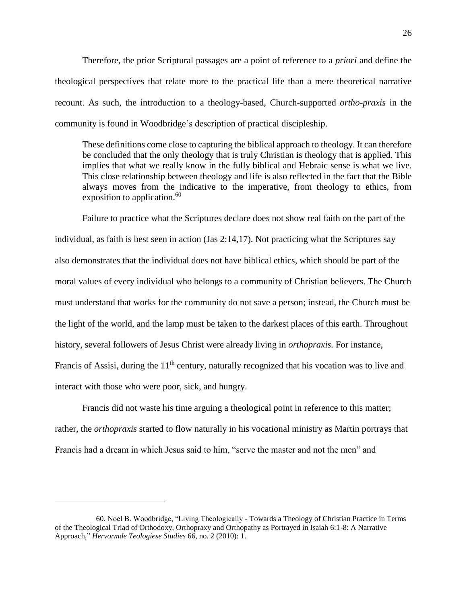Therefore, the prior Scriptural passages are a point of reference to a *priori* and define the theological perspectives that relate more to the practical life than a mere theoretical narrative recount. As such, the introduction to a theology-based, Church-supported *ortho-praxis* in the community is found in Woodbridge's description of practical discipleship.

These definitions come close to capturing the biblical approach to theology. It can therefore be concluded that the only theology that is truly Christian is theology that is applied. This implies that what we really know in the fully biblical and Hebraic sense is what we live. This close relationship between theology and life is also reflected in the fact that the Bible always moves from the indicative to the imperative, from theology to ethics, from exposition to application. $60$ 

Failure to practice what the Scriptures declare does not show real faith on the part of the individual, as faith is best seen in action (Jas 2:14,17). Not practicing what the Scriptures say also demonstrates that the individual does not have biblical ethics, which should be part of the moral values of every individual who belongs to a community of Christian believers. The Church must understand that works for the community do not save a person; instead, the Church must be the light of the world, and the lamp must be taken to the darkest places of this earth. Throughout history, several followers of Jesus Christ were already living in *orthopraxis.* For instance, Francis of Assisi, during the  $11<sup>th</sup>$  century, naturally recognized that his vocation was to live and interact with those who were poor, sick, and hungry.

Francis did not waste his time arguing a theological point in reference to this matter; rather, the *orthopraxis* started to flow naturally in his vocational ministry as Martin portrays that Francis had a dream in which Jesus said to him, "serve the master and not the men" and

<sup>60.</sup> Noel B. Woodbridge, "Living Theologically - Towards a Theology of Christian Practice in Terms of the Theological Triad of Orthodoxy, Orthopraxy and Orthopathy as Portrayed in Isaiah 6:1-8: A Narrative Approach," *Hervormde Teologiese Studies* 66, no. 2 (2010): 1.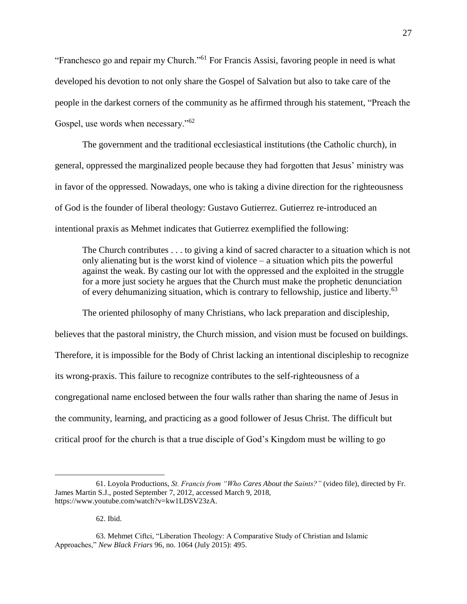"Franchesco go and repair my Church."<sup>61</sup> For Francis Assisi, favoring people in need is what developed his devotion to not only share the Gospel of Salvation but also to take care of the people in the darkest corners of the community as he affirmed through his statement, "Preach the Gospel, use words when necessary." $62$ 

The government and the traditional ecclesiastical institutions (the Catholic church), in general, oppressed the marginalized people because they had forgotten that Jesus' ministry was in favor of the oppressed. Nowadays, one who is taking a divine direction for the righteousness of God is the founder of liberal theology: Gustavo Gutierrez. Gutierrez re-introduced an intentional praxis as Mehmet indicates that Gutierrez exemplified the following:

The Church contributes . . . to giving a kind of sacred character to a situation which is not only alienating but is the worst kind of violence – a situation which pits the powerful against the weak. By casting our lot with the oppressed and the exploited in the struggle for a more just society he argues that the Church must make the prophetic denunciation of every dehumanizing situation, which is contrary to fellowship, justice and liberty.<sup>63</sup>

The oriented philosophy of many Christians, who lack preparation and discipleship, believes that the pastoral ministry, the Church mission, and vision must be focused on buildings. Therefore, it is impossible for the Body of Christ lacking an intentional discipleship to recognize its wrong-praxis. This failure to recognize contributes to the self-righteousness of a congregational name enclosed between the four walls rather than sharing the name of Jesus in the community, learning, and practicing as a good follower of Jesus Christ. The difficult but critical proof for the church is that a true disciple of God's Kingdom must be willing to go

62. Ibid.

<sup>61.</sup> Loyola Productions, *St. Francis from "Who Cares About the Saints?"* (video file), directed by Fr. James Martin S.J., posted September 7, 2012, accessed March 9, 2018, https://www.youtube.com/watch?v=kw1LDSV23zA.

<sup>63.</sup> Mehmet Ciftci, "Liberation Theology: A Comparative Study of Christian and Islamic Approaches," *New Black Friars* 96, no. 1064 (July 2015): 495.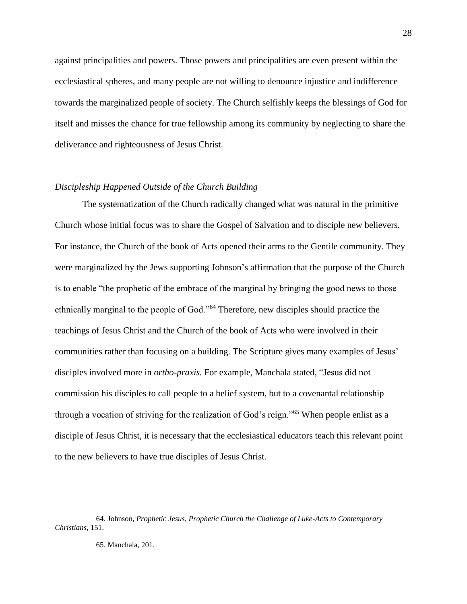against principalities and powers. Those powers and principalities are even present within the ecclesiastical spheres, and many people are not willing to denounce injustice and indifference towards the marginalized people of society. The Church selfishly keeps the blessings of God for itself and misses the chance for true fellowship among its community by neglecting to share the deliverance and righteousness of Jesus Christ.

# <span id="page-31-0"></span>*Discipleship Happened Outside of the Church Building*

The systematization of the Church radically changed what was natural in the primitive Church whose initial focus was to share the Gospel of Salvation and to disciple new believers. For instance, the Church of the book of Acts opened their arms to the Gentile community. They were marginalized by the Jews supporting Johnson's affirmation that the purpose of the Church is to enable "the prophetic of the embrace of the marginal by bringing the good news to those ethnically marginal to the people of God."<sup>64</sup> Therefore, new disciples should practice the teachings of Jesus Christ and the Church of the book of Acts who were involved in their communities rather than focusing on a building. The Scripture gives many examples of Jesus' disciples involved more in *ortho-praxis.* For example, Manchala stated, "Jesus did not commission his disciples to call people to a belief system, but to a covenantal relationship through a vocation of striving for the realization of God's reign."<sup>65</sup> When people enlist as a disciple of Jesus Christ, it is necessary that the ecclesiastical educators teach this relevant point to the new believers to have true disciples of Jesus Christ.

<sup>64.</sup> Johnson, *Prophetic Jesus, Prophetic Church the Challenge of Luke-Acts to Contemporary Christians,* 151.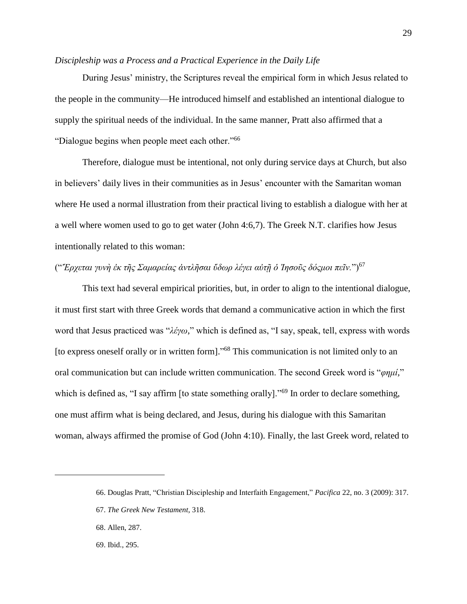# <span id="page-32-0"></span>*Discipleship was a Process and a Practical Experience in the Daily Life*

During Jesus' ministry, the Scriptures reveal the empirical form in which Jesus related to the people in the community—He introduced himself and established an intentional dialogue to supply the spiritual needs of the individual. In the same manner, Pratt also affirmed that a "Dialogue begins when people meet each other."<sup>66</sup>

Therefore, dialogue must be intentional, not only during service days at Church, but also in believers' daily lives in their communities as in Jesus' encounter with the Samaritan woman where He used a normal illustration from their practical living to establish a dialogue with her at a well where women used to go to get water (John 4:6,7). The Greek N.T. clarifies how Jesus intentionally related to this woman:

# ("*Ἔρχεται γυνὴ ἐκ τῆς Σαμαρείας ἀντλῆσαι ὕδωρ λέγει αὐτῇ ὁ Ἰησοῦς δόςμοι πεῖν.*")<sup>67</sup>

This text had several empirical priorities, but, in order to align to the intentional dialogue, it must first start with three Greek words that demand a communicative action in which the first word that Jesus practiced was "*λέγω*," which is defined as, "I say, speak, tell, express with words [to express oneself orally or in written form]."<sup>68</sup> This communication is not limited only to an oral communication but can include written communication. The second Greek word is "*φημί,*" which is defined as, "I say affirm [to state something orally]."<sup>69</sup> In order to declare something, one must affirm what is being declared, and Jesus, during his dialogue with this Samaritan woman, always affirmed the promise of God (John 4:10). Finally, the last Greek word, related to

<sup>66.</sup> Douglas Pratt, "Christian Discipleship and Interfaith Engagement," *Pacifica* 22, no. 3 (2009): 317.

<sup>67.</sup> *The Greek New Testament*, 318.

<sup>68.</sup> Allen, 287.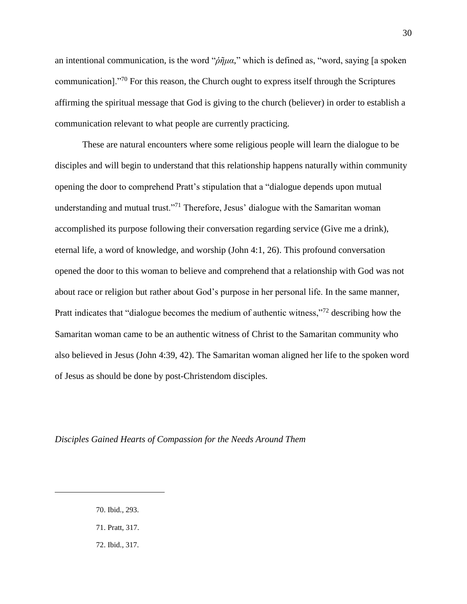an intentional communication, is the word "*ῥῆμα*," which is defined as, "word, saying [a spoken communication]."<sup>70</sup> For this reason, the Church ought to express itself through the Scriptures affirming the spiritual message that God is giving to the church (believer) in order to establish a communication relevant to what people are currently practicing.

These are natural encounters where some religious people will learn the dialogue to be disciples and will begin to understand that this relationship happens naturally within community opening the door to comprehend Pratt's stipulation that a "dialogue depends upon mutual understanding and mutual trust."<sup>71</sup> Therefore, Jesus' dialogue with the Samaritan woman accomplished its purpose following their conversation regarding service (Give me a drink), eternal life, a word of knowledge, and worship (John 4:1, 26). This profound conversation opened the door to this woman to believe and comprehend that a relationship with God was not about race or religion but rather about God's purpose in her personal life. In the same manner, Pratt indicates that "dialogue becomes the medium of authentic witness,"<sup>72</sup> describing how the Samaritan woman came to be an authentic witness of Christ to the Samaritan community who also believed in Jesus (John 4:39, 42). The Samaritan woman aligned her life to the spoken word of Jesus as should be done by post-Christendom disciples.

<span id="page-33-0"></span>*Disciples Gained Hearts of Compassion for the Needs Around Them*

70. Ibid., 293.

- 71. Pratt, 317.
- 72. Ibid., 317.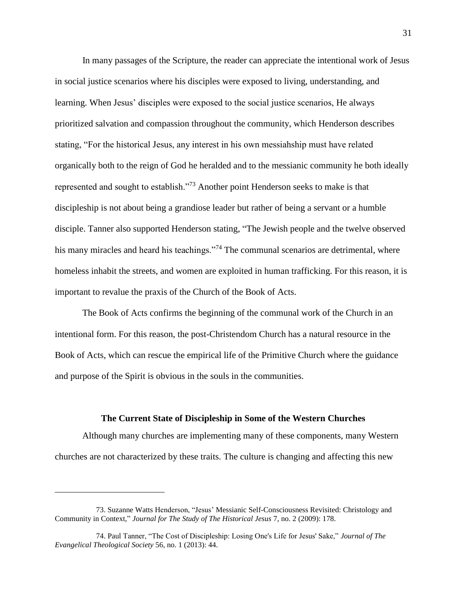In many passages of the Scripture, the reader can appreciate the intentional work of Jesus in social justice scenarios where his disciples were exposed to living, understanding, and learning. When Jesus' disciples were exposed to the social justice scenarios, He always prioritized salvation and compassion throughout the community, which Henderson describes stating, "For the historical Jesus, any interest in his own messiahship must have related organically both to the reign of God he heralded and to the messianic community he both ideally represented and sought to establish."<sup>73</sup> Another point Henderson seeks to make is that discipleship is not about being a grandiose leader but rather of being a servant or a humble disciple. Tanner also supported Henderson stating, "The Jewish people and the twelve observed his many miracles and heard his teachings."<sup>74</sup> The communal scenarios are detrimental, where homeless inhabit the streets, and women are exploited in human trafficking. For this reason, it is important to revalue the praxis of the Church of the Book of Acts.

The Book of Acts confirms the beginning of the communal work of the Church in an intentional form. For this reason, the post-Christendom Church has a natural resource in the Book of Acts, which can rescue the empirical life of the Primitive Church where the guidance and purpose of the Spirit is obvious in the souls in the communities.

## **The Current State of Discipleship in Some of the Western Churches**

<span id="page-34-0"></span>Although many churches are implementing many of these components, many Western churches are not characterized by these traits. The culture is changing and affecting this new

<sup>73.</sup> Suzanne Watts Henderson, "Jesus' Messianic Self-Consciousness Revisited: Christology and Community in Context," *Journal for The Study of The Historical Jesus* 7, no. 2 (2009): 178.

<sup>74.</sup> Paul Tanner, "The Cost of Discipleship: Losing One's Life for Jesus' Sake," *Journal of The Evangelical Theological Society* 56, no. 1 (2013): 44.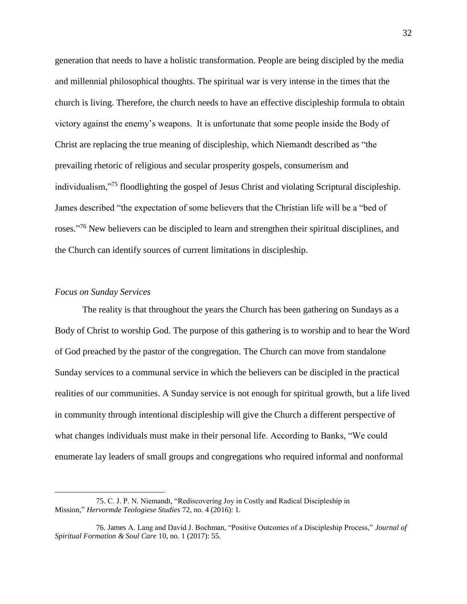generation that needs to have a holistic transformation. People are being discipled by the media and millennial philosophical thoughts. The spiritual war is very intense in the times that the church is living. Therefore, the church needs to have an effective discipleship formula to obtain victory against the enemy's weapons. It is unfortunate that some people inside the Body of Christ are replacing the true meaning of discipleship, which Niemandt described as "the prevailing rhetoric of religious and secular prosperity gospels, consumerism and individualism,"<sup>75</sup> floodlighting the gospel of Jesus Christ and violating Scriptural discipleship. James described "the expectation of some believers that the Christian life will be a "bed of roses."<sup>76</sup> New believers can be discipled to learn and strengthen their spiritual disciplines, and the Church can identify sources of current limitations in discipleship.

#### <span id="page-35-0"></span>*Focus on Sunday Services*

 $\overline{a}$ 

The reality is that throughout the years the Church has been gathering on Sundays as a Body of Christ to worship God. The purpose of this gathering is to worship and to hear the Word of God preached by the pastor of the congregation. The Church can move from standalone Sunday services to a communal service in which the believers can be discipled in the practical realities of our communities. A Sunday service is not enough for spiritual growth, but a life lived in community through intentional discipleship will give the Church a different perspective of what changes individuals must make in their personal life. According to Banks, "We could enumerate lay leaders of small groups and congregations who required informal and nonformal

<sup>75.</sup> C. J. P. N. Niemandt, "Rediscovering Joy in Costly and Radical Discipleship in Mission," *Hervormde Teologiese Studies* 72, no. 4 (2016): 1.

<sup>76.</sup> James A. Lang and David J. Bochman, "Positive Outcomes of a Discipleship Process," *Journal of Spiritual Formation & Soul Care* 10, no. 1 (2017): 55.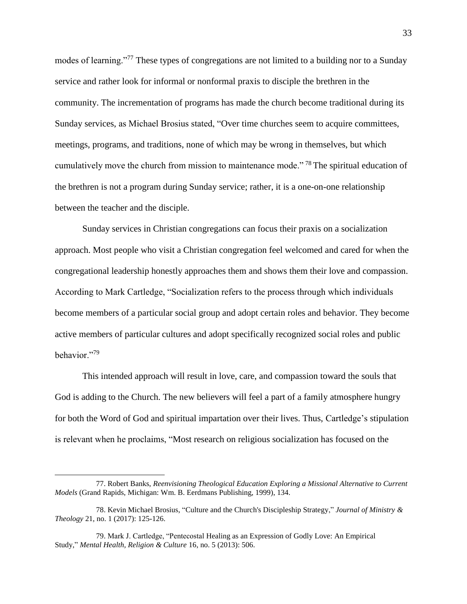modes of learning."<sup>77</sup> These types of congregations are not limited to a building nor to a Sunday service and rather look for informal or nonformal praxis to disciple the brethren in the community. The incrementation of programs has made the church become traditional during its Sunday services, as Michael Brosius stated, "Over time churches seem to acquire committees, meetings, programs, and traditions, none of which may be wrong in themselves, but which cumulatively move the church from mission to maintenance mode." <sup>78</sup> The spiritual education of the brethren is not a program during Sunday service; rather, it is a one-on-one relationship between the teacher and the disciple.

Sunday services in Christian congregations can focus their praxis on a socialization approach. Most people who visit a Christian congregation feel welcomed and cared for when the congregational leadership honestly approaches them and shows them their love and compassion. According to Mark Cartledge, "Socialization refers to the process through which individuals become members of a particular social group and adopt certain roles and behavior. They become active members of particular cultures and adopt specifically recognized social roles and public behavior."<sup>79</sup>

This intended approach will result in love, care, and compassion toward the souls that God is adding to the Church. The new believers will feel a part of a family atmosphere hungry for both the Word of God and spiritual impartation over their lives. Thus, Cartledge's stipulation is relevant when he proclaims, "Most research on religious socialization has focused on the

<sup>77.</sup> Robert Banks, *Reenvisioning Theological Education Exploring a Missional Alternative to Current Models* (Grand Rapids, Michigan: Wm. B. Eerdmans Publishing, 1999), 134.

<sup>78.</sup> Kevin Michael Brosius, "Culture and the Church's Discipleship Strategy," *Journal of Ministry & Theology* 21, no. 1 (2017): 125-126.

<sup>79.</sup> Mark J. Cartledge, "Pentecostal Healing as an Expression of Godly Love: An Empirical Study," *Mental Health, Religion & Culture* 16, no. 5 (2013): 506.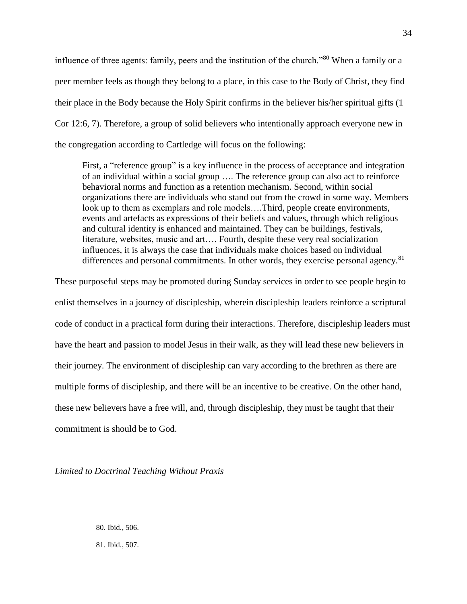influence of three agents: family, peers and the institution of the church."<sup>80</sup> When a family or a peer member feels as though they belong to a place, in this case to the Body of Christ, they find their place in the Body because the Holy Spirit confirms in the believer his/her spiritual gifts (1 Cor 12:6, 7). Therefore, a group of solid believers who intentionally approach everyone new in the congregation according to Cartledge will focus on the following:

First, a "reference group" is a key influence in the process of acceptance and integration of an individual within a social group …. The reference group can also act to reinforce behavioral norms and function as a retention mechanism. Second, within social organizations there are individuals who stand out from the crowd in some way. Members look up to them as exemplars and role models….Third, people create environments, events and artefacts as expressions of their beliefs and values, through which religious and cultural identity is enhanced and maintained. They can be buildings, festivals, literature, websites, music and art…. Fourth, despite these very real socialization influences, it is always the case that individuals make choices based on individual differences and personal commitments. In other words, they exercise personal agency.<sup>81</sup>

These purposeful steps may be promoted during Sunday services in order to see people begin to enlist themselves in a journey of discipleship, wherein discipleship leaders reinforce a scriptural code of conduct in a practical form during their interactions. Therefore, discipleship leaders must have the heart and passion to model Jesus in their walk, as they will lead these new believers in their journey. The environment of discipleship can vary according to the brethren as there are multiple forms of discipleship, and there will be an incentive to be creative. On the other hand, these new believers have a free will, and, through discipleship, they must be taught that their commitment is should be to God.

*Limited to Doctrinal Teaching Without Praxis*

80. Ibid., 506.

 $\overline{a}$ 

81. Ibid., 507.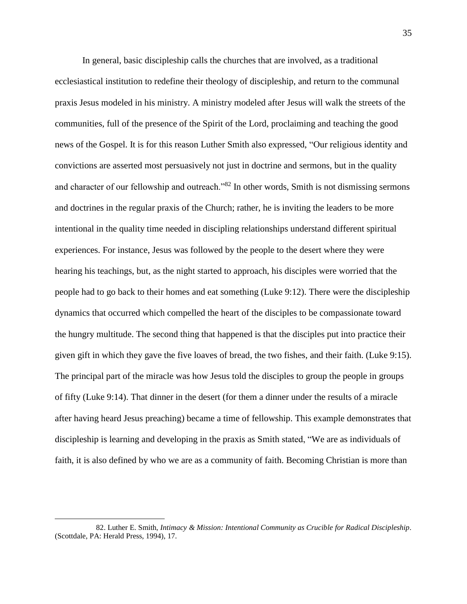In general, basic discipleship calls the churches that are involved, as a traditional ecclesiastical institution to redefine their theology of discipleship, and return to the communal praxis Jesus modeled in his ministry. A ministry modeled after Jesus will walk the streets of the communities, full of the presence of the Spirit of the Lord, proclaiming and teaching the good news of the Gospel. It is for this reason Luther Smith also expressed, "Our religious identity and convictions are asserted most persuasively not just in doctrine and sermons, but in the quality and character of our fellowship and outreach."<sup>82</sup> In other words, Smith is not dismissing sermons and doctrines in the regular praxis of the Church; rather, he is inviting the leaders to be more intentional in the quality time needed in discipling relationships understand different spiritual experiences. For instance, Jesus was followed by the people to the desert where they were hearing his teachings, but, as the night started to approach, his disciples were worried that the people had to go back to their homes and eat something (Luke 9:12). There were the discipleship dynamics that occurred which compelled the heart of the disciples to be compassionate toward the hungry multitude. The second thing that happened is that the disciples put into practice their given gift in which they gave the five loaves of bread, the two fishes, and their faith. (Luke 9:15). The principal part of the miracle was how Jesus told the disciples to group the people in groups of fifty (Luke 9:14). That dinner in the desert (for them a dinner under the results of a miracle after having heard Jesus preaching) became a time of fellowship. This example demonstrates that discipleship is learning and developing in the praxis as Smith stated, "We are as individuals of faith, it is also defined by who we are as a community of faith. Becoming Christian is more than

<sup>82.</sup> Luther E. Smith, *Intimacy & Mission: Intentional Community as Crucible for Radical Discipleship*. (Scottdale, PA: Herald Press, 1994), 17.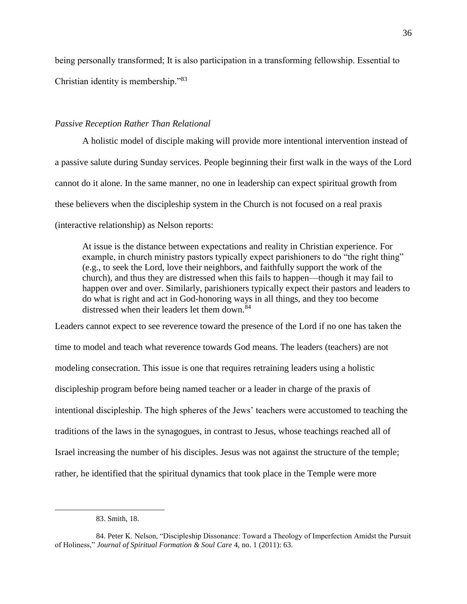being personally transformed; It is also participation in a transforming fellowship. Essential to Christian identity is membership."<sup>83</sup>

## *Passive Reception Rather Than Relational*

A holistic model of disciple making will provide more intentional intervention instead of a passive salute during Sunday services. People beginning their first walk in the ways of the Lord cannot do it alone. In the same manner, no one in leadership can expect spiritual growth from these believers when the discipleship system in the Church is not focused on a real praxis (interactive relationship) as Nelson reports:

At issue is the distance between expectations and reality in Christian experience. For example, in church ministry pastors typically expect parishioners to do "the right thing" (e.g., to seek the Lord, love their neighbors, and faithfully support the work of the church), and thus they are distressed when this fails to happen—though it may fail to happen over and over. Similarly, parishioners typically expect their pastors and leaders to do what is right and act in God-honoring ways in all things, and they too become distressed when their leaders let them down.<sup>84</sup>

Leaders cannot expect to see reverence toward the presence of the Lord if no one has taken the time to model and teach what reverence towards God means. The leaders (teachers) are not modeling consecration. This issue is one that requires retraining leaders using a holistic discipleship program before being named teacher or a leader in charge of the praxis of intentional discipleship. The high spheres of the Jews' teachers were accustomed to teaching the traditions of the laws in the synagogues, in contrast to Jesus, whose teachings reached all of Israel increasing the number of his disciples. Jesus was not against the structure of the temple; rather, he identified that the spiritual dynamics that took place in the Temple were more

<sup>83.</sup> Smith, 18.

<sup>84.</sup> Peter K. Nelson, "Discipleship Dissonance: Toward a Theology of Imperfection Amidst the Pursuit of Holiness," *Journal of Spiritual Formation & Soul Care* 4, no. 1 (2011): 63.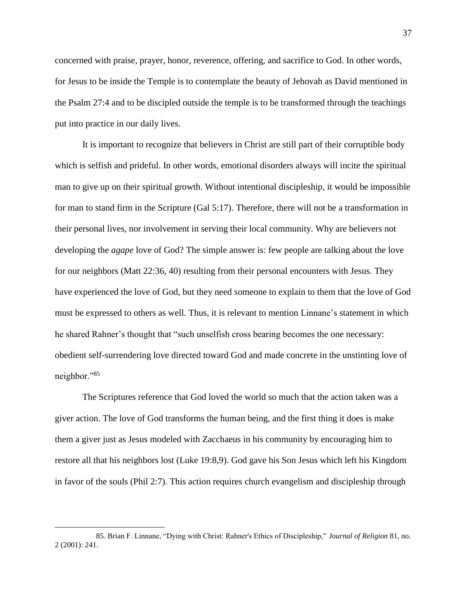concerned with praise, prayer, honor, reverence, offering, and sacrifice to God. In other words, for Jesus to be inside the Temple is to contemplate the beauty of Jehovah as David mentioned in the Psalm 27:4 and to be discipled outside the temple is to be transformed through the teachings put into practice in our daily lives.

It is important to recognize that believers in Christ are still part of their corruptible body which is selfish and prideful. In other words, emotional disorders always will incite the spiritual man to give up on their spiritual growth. Without intentional discipleship, it would be impossible for man to stand firm in the Scripture (Gal 5:17). Therefore, there will not be a transformation in their personal lives, nor involvement in serving their local community. Why are believers not developing the *agape* love of God? The simple answer is: few people are talking about the love for our neighbors (Matt 22:36, 40) resulting from their personal encounters with Jesus. They have experienced the love of God, but they need someone to explain to them that the love of God must be expressed to others as well. Thus, it is relevant to mention Linnane's statement in which he shared Rahner's thought that "such unselfish cross bearing becomes the one necessary: obedient self-surrendering love directed toward God and made concrete in the unstinting love of neighbor."<sup>85</sup>

The Scriptures reference that God loved the world so much that the action taken was a giver action. The love of God transforms the human being, and the first thing it does is make them a giver just as Jesus modeled with Zacchaeus in his community by encouraging him to restore all that his neighbors lost (Luke 19:8,9). God gave his Son Jesus which left his Kingdom in favor of the souls (Phil 2:7). This action requires church evangelism and discipleship through

<sup>85.</sup> Brian F. Linnane, "Dying with Christ: Rahner's Ethics of Discipleship," *Journal of Religion* 81, no. 2 (2001): 241.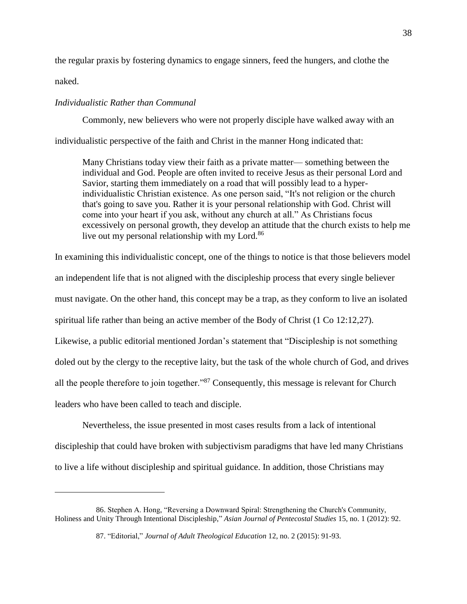the regular praxis by fostering dynamics to engage sinners, feed the hungers, and clothe the

naked.

 $\overline{a}$ 

## *Individualistic Rather than Communal*

Commonly, new believers who were not properly disciple have walked away with an

individualistic perspective of the faith and Christ in the manner Hong indicated that:

Many Christians today view their faith as a private matter— something between the individual and God. People are often invited to receive Jesus as their personal Lord and Savior, starting them immediately on a road that will possibly lead to a hyperindividualistic Christian existence. As one person said, "It's not religion or the church that's going to save you. Rather it is your personal relationship with God. Christ will come into your heart if you ask, without any church at all." As Christians focus excessively on personal growth, they develop an attitude that the church exists to help me live out my personal relationship with my Lord.<sup>86</sup>

In examining this individualistic concept, one of the things to notice is that those believers model

an independent life that is not aligned with the discipleship process that every single believer

must navigate. On the other hand, this concept may be a trap, as they conform to live an isolated

spiritual life rather than being an active member of the Body of Christ (1 Co 12:12,27).

Likewise, a public editorial mentioned Jordan's statement that "Discipleship is not something

doled out by the clergy to the receptive laity, but the task of the whole church of God, and drives

all the people therefore to join together."<sup>87</sup> Consequently, this message is relevant for Church

leaders who have been called to teach and disciple.

Nevertheless, the issue presented in most cases results from a lack of intentional discipleship that could have broken with subjectivism paradigms that have led many Christians to live a life without discipleship and spiritual guidance. In addition, those Christians may

<sup>86.</sup> Stephen A. Hong, "Reversing a Downward Spiral: Strengthening the Church's Community, Holiness and Unity Through Intentional Discipleship," *Asian Journal of Pentecostal Studies* 15, no. 1 (2012): 92.

<sup>87.</sup> "Editorial," *Journal of Adult Theological Education* 12, no. 2 (2015): 91-93.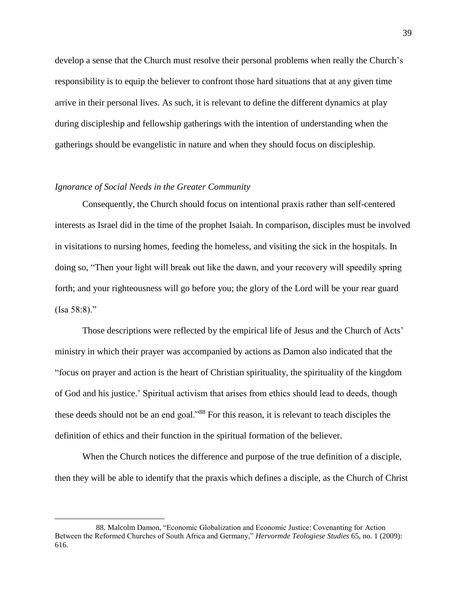develop a sense that the Church must resolve their personal problems when really the Church's responsibility is to equip the believer to confront those hard situations that at any given time arrive in their personal lives. As such, it is relevant to define the different dynamics at play during discipleship and fellowship gatherings with the intention of understanding when the gatherings should be evangelistic in nature and when they should focus on discipleship.

### *Ignorance of Social Needs in the Greater Community*

 $\overline{a}$ 

Consequently, the Church should focus on intentional praxis rather than self-centered interests as Israel did in the time of the prophet Isaiah. In comparison, disciples must be involved in visitations to nursing homes, feeding the homeless, and visiting the sick in the hospitals. In doing so, "Then your light will break out like the dawn, and your recovery will speedily spring forth; and your righteousness will go before you; the glory of the Lord will be your rear guard  $(Isa 58:8)$ ."

Those descriptions were reflected by the empirical life of Jesus and the Church of Acts' ministry in which their prayer was accompanied by actions as Damon also indicated that the "focus on prayer and action is the heart of Christian spirituality, the spirituality of the kingdom of God and his justice.' Spiritual activism that arises from ethics should lead to deeds, though these deeds should not be an end goal."<sup>88</sup> For this reason, it is relevant to teach disciples the definition of ethics and their function in the spiritual formation of the believer.

When the Church notices the difference and purpose of the true definition of a disciple, then they will be able to identify that the praxis which defines a disciple, as the Church of Christ

<sup>88.</sup> Malcolm Damon, "Economic Globalization and Economic Justice: Covenanting for Action Between the Reformed Churches of South Africa and Germany," *Hervormde Teologiese Studies* 65, no. 1 (2009): 616.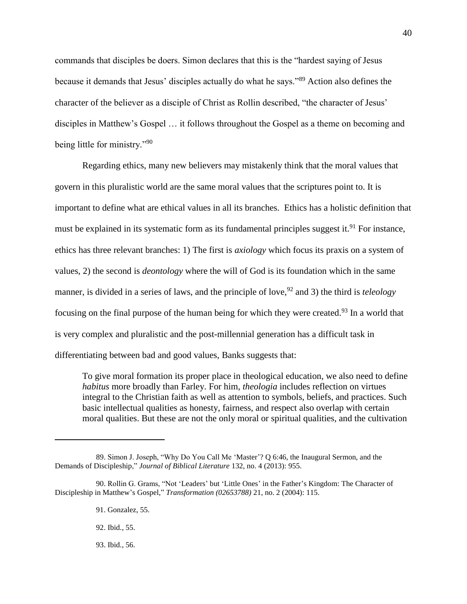commands that disciples be doers. Simon declares that this is the "hardest saying of Jesus because it demands that Jesus' disciples actually do what he says."<sup>89</sup> Action also defines the character of the believer as a disciple of Christ as Rollin described, "the character of Jesus' disciples in Matthew's Gospel … it follows throughout the Gospel as a theme on becoming and being little for ministry."<sup>90</sup>

Regarding ethics, many new believers may mistakenly think that the moral values that govern in this pluralistic world are the same moral values that the scriptures point to. It is important to define what are ethical values in all its branches. Ethics has a holistic definition that must be explained in its systematic form as its fundamental principles suggest it.<sup>91</sup> For instance, ethics has three relevant branches: 1) The first is *axiology* which focus its praxis on a system of values, 2) the second is *deontology* where the will of God is its foundation which in the same manner, is divided in a series of laws, and the principle of love, <sup>92</sup> and 3) the third is *teleology*  focusing on the final purpose of the human being for which they were created.<sup>93</sup> In a world that is very complex and pluralistic and the post-millennial generation has a difficult task in differentiating between bad and good values, Banks suggests that:

To give moral formation its proper place in theological education, we also need to define *habitus* more broadly than Farley. For him, *theologia* includes reflection on virtues integral to the Christian faith as well as attention to symbols, beliefs, and practices. Such basic intellectual qualities as honesty, fairness, and respect also overlap with certain moral qualities. But these are not the only moral or spiritual qualities, and the cultivation

 $\overline{a}$ 

93. Ibid., 56.

<sup>89.</sup> Simon J. Joseph, "Why Do You Call Me 'Master'? Q 6:46, the Inaugural Sermon, and the Demands of Discipleship," *Journal of Biblical Literature* 132, no. 4 (2013): 955.

<sup>90.</sup> Rollin G. Grams, "Not 'Leaders' but 'Little Ones' in the Father's Kingdom: The Character of Discipleship in Matthew's Gospel," *Transformation (02653788)* 21, no. 2 (2004): 115.

<sup>91.</sup> Gonzalez, 55.

<sup>92.</sup> Ibid., 55.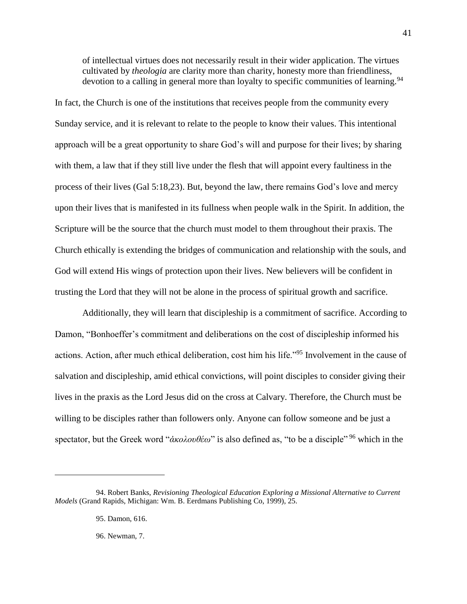of intellectual virtues does not necessarily result in their wider application. The virtues cultivated by *theologia* are clarity more than charity, honesty more than friendliness, devotion to a calling in general more than loyalty to specific communities of learning.<sup>94</sup>

In fact, the Church is one of the institutions that receives people from the community every Sunday service, and it is relevant to relate to the people to know their values. This intentional approach will be a great opportunity to share God's will and purpose for their lives; by sharing with them, a law that if they still live under the flesh that will appoint every faultiness in the process of their lives (Gal 5:18,23). But, beyond the law, there remains God's love and mercy upon their lives that is manifested in its fullness when people walk in the Spirit. In addition, the Scripture will be the source that the church must model to them throughout their praxis. The Church ethically is extending the bridges of communication and relationship with the souls, and God will extend His wings of protection upon their lives. New believers will be confident in trusting the Lord that they will not be alone in the process of spiritual growth and sacrifice.

Additionally, they will learn that discipleship is a commitment of sacrifice. According to Damon, "Bonhoeffer's commitment and deliberations on the cost of discipleship informed his actions. Action, after much ethical deliberation, cost him his life."<sup>95</sup> Involvement in the cause of salvation and discipleship, amid ethical convictions, will point disciples to consider giving their lives in the praxis as the Lord Jesus did on the cross at Calvary. Therefore, the Church must be willing to be disciples rather than followers only. Anyone can follow someone and be just a spectator, but the Greek word "*ἀκολουθέω*" is also defined as, "to be a disciple" <sup>96</sup> which in the

 $\overline{a}$ 

96. Newman, 7.

<sup>94.</sup> Robert Banks, *Revisioning Theological Education Exploring a Missional Alternative to Current Models* (Grand Rapids, Michigan: Wm. B. Eerdmans Publishing Co, 1999), 25.

<sup>95.</sup> Damon, 616.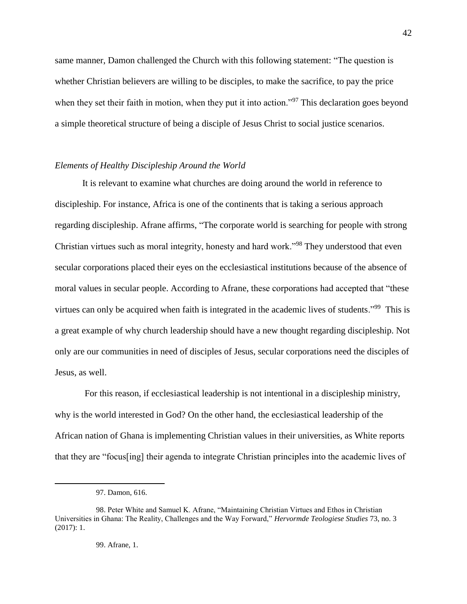same manner, Damon challenged the Church with this following statement: "The question is whether Christian believers are willing to be disciples, to make the sacrifice, to pay the price when they set their faith in motion, when they put it into action."<sup>97</sup> This declaration goes beyond a simple theoretical structure of being a disciple of Jesus Christ to social justice scenarios.

### *Elements of Healthy Discipleship Around the World*

It is relevant to examine what churches are doing around the world in reference to discipleship. For instance, Africa is one of the continents that is taking a serious approach regarding discipleship. Afrane affirms, "The corporate world is searching for people with strong Christian virtues such as moral integrity, honesty and hard work."<sup>98</sup> They understood that even secular corporations placed their eyes on the ecclesiastical institutions because of the absence of moral values in secular people. According to Afrane, these corporations had accepted that "these virtues can only be acquired when faith is integrated in the academic lives of students."<sup>99</sup> This is a great example of why church leadership should have a new thought regarding discipleship. Not only are our communities in need of disciples of Jesus, secular corporations need the disciples of Jesus, as well.

For this reason, if ecclesiastical leadership is not intentional in a discipleship ministry, why is the world interested in God? On the other hand, the ecclesiastical leadership of the African nation of Ghana is implementing Christian values in their universities, as White reports that they are "focus[ing] their agenda to integrate Christian principles into the academic lives of

<sup>97.</sup> Damon, 616.

<sup>98.</sup> Peter White and Samuel K. Afrane, "Maintaining Christian Virtues and Ethos in Christian Universities in Ghana: The Reality, Challenges and the Way Forward," *Hervormde Teologiese Studies* 73, no. 3 (2017): 1.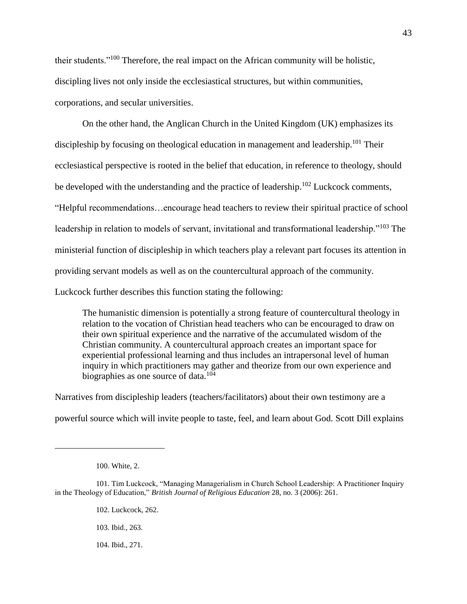their students."<sup>100</sup> Therefore, the real impact on the African community will be holistic, discipling lives not only inside the ecclesiastical structures, but within communities, corporations, and secular universities.

On the other hand, the Anglican Church in the United Kingdom (UK) emphasizes its discipleship by focusing on theological education in management and leadership.<sup>101</sup> Their ecclesiastical perspective is rooted in the belief that education, in reference to theology, should be developed with the understanding and the practice of leadership.<sup>102</sup> Luckcock comments, "Helpful recommendations…encourage head teachers to review their spiritual practice of school leadership in relation to models of servant, invitational and transformational leadership."<sup>103</sup> The ministerial function of discipleship in which teachers play a relevant part focuses its attention in providing servant models as well as on the countercultural approach of the community. Luckcock further describes this function stating the following:

The humanistic dimension is potentially a strong feature of countercultural theology in relation to the vocation of Christian head teachers who can be encouraged to draw on their own spiritual experience and the narrative of the accumulated wisdom of the Christian community. A countercultural approach creates an important space for experiential professional learning and thus includes an intrapersonal level of human inquiry in which practitioners may gather and theorize from our own experience and biographies as one source of data. $104$ 

Narratives from discipleship leaders (teachers/facilitators) about their own testimony are a powerful source which will invite people to taste, feel, and learn about God. Scott Dill explains

 $\overline{a}$ 

43

104. Ibid., 271.

<sup>100.</sup> White, 2.

<sup>101.</sup> Tim Luckcock, "Managing Managerialism in Church School Leadership: A Practitioner Inquiry in the Theology of Education," *British Journal of Religious Education* 28, no. 3 (2006): 261.

<sup>102.</sup> Luckcock, 262.

<sup>103.</sup> Ibid., 263.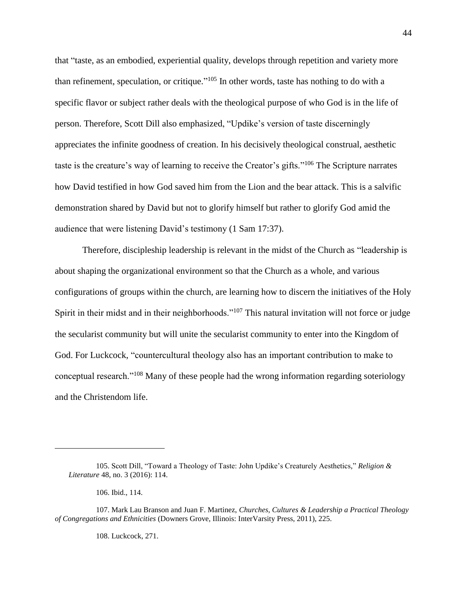that "taste, as an embodied, experiential quality, develops through repetition and variety more than refinement, speculation, or critique."<sup>105</sup> In other words, taste has nothing to do with a specific flavor or subject rather deals with the theological purpose of who God is in the life of person. Therefore, Scott Dill also emphasized, "Updike's version of taste discerningly appreciates the infinite goodness of creation. In his decisively theological construal, aesthetic taste is the creature's way of learning to receive the Creator's gifts."<sup>106</sup> The Scripture narrates how David testified in how God saved him from the Lion and the bear attack. This is a salvific demonstration shared by David but not to glorify himself but rather to glorify God amid the audience that were listening David's testimony (1 Sam 17:37).

Therefore, discipleship leadership is relevant in the midst of the Church as "leadership is about shaping the organizational environment so that the Church as a whole, and various configurations of groups within the church, are learning how to discern the initiatives of the Holy Spirit in their midst and in their neighborhoods."<sup>107</sup> This natural invitation will not force or judge the secularist community but will unite the secularist community to enter into the Kingdom of God. For Luckcock, "countercultural theology also has an important contribution to make to conceptual research."<sup>108</sup> Many of these people had the wrong information regarding soteriology and the Christendom life.

 $\overline{a}$ 

108. Luckcock, 271.

<sup>105.</sup> Scott Dill, "Toward a Theology of Taste: John Updike's Creaturely Aesthetics," *Religion & Literature* 48, no. 3 (2016): 114.

<sup>106.</sup> Ibid., 114.

<sup>107.</sup> Mark Lau Branson and Juan F. Martinez, *Churches, Cultures & Leadership a Practical Theology of Congregations and Ethnicities* (Downers Grove, Illinois: InterVarsity Press, 2011), 225.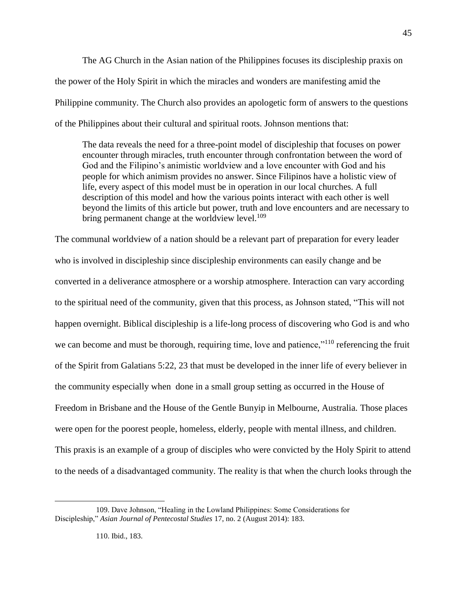The AG Church in the Asian nation of the Philippines focuses its discipleship praxis on the power of the Holy Spirit in which the miracles and wonders are manifesting amid the Philippine community. The Church also provides an apologetic form of answers to the questions of the Philippines about their cultural and spiritual roots. Johnson mentions that:

The data reveals the need for a three-point model of discipleship that focuses on power encounter through miracles, truth encounter through confrontation between the word of God and the Filipino's animistic worldview and a love encounter with God and his people for which animism provides no answer. Since Filipinos have a holistic view of life, every aspect of this model must be in operation in our local churches. A full description of this model and how the various points interact with each other is well beyond the limits of this article but power, truth and love encounters and are necessary to bring permanent change at the worldview level.<sup>109</sup>

The communal worldview of a nation should be a relevant part of preparation for every leader who is involved in discipleship since discipleship environments can easily change and be converted in a deliverance atmosphere or a worship atmosphere. Interaction can vary according to the spiritual need of the community, given that this process, as Johnson stated, "This will not happen overnight. Biblical discipleship is a life-long process of discovering who God is and who we can become and must be thorough, requiring time, love and patience,"<sup>110</sup> referencing the fruit of the Spirit from Galatians 5:22, 23 that must be developed in the inner life of every believer in the community especially when done in a small group setting as occurred in the House of Freedom in Brisbane and the House of the Gentle Bunyip in Melbourne, Australia. Those places were open for the poorest people, homeless, elderly, people with mental illness, and children. This praxis is an example of a group of disciples who were convicted by the Holy Spirit to attend to the needs of a disadvantaged community. The reality is that when the church looks through the

45

<sup>109.</sup> Dave Johnson, "Healing in the Lowland Philippines: Some Considerations for Discipleship," *Asian Journal of Pentecostal Studies* 17, no. 2 (August 2014): 183.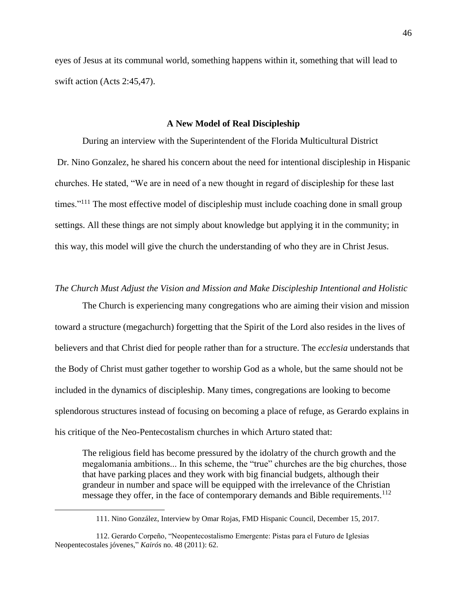eyes of Jesus at its communal world, something happens within it, something that will lead to swift action (Acts 2:45,47).

### **A New Model of Real Discipleship**

During an interview with the Superintendent of the Florida Multicultural District Dr. Nino Gonzalez, he shared his concern about the need for intentional discipleship in Hispanic churches. He stated, "We are in need of a new thought in regard of discipleship for these last times."<sup>111</sup> The most effective model of discipleship must include coaching done in small group settings. All these things are not simply about knowledge but applying it in the community; in this way, this model will give the church the understanding of who they are in Christ Jesus.

## *The Church Must Adjust the Vision and Mission and Make Discipleship Intentional and Holistic*

The Church is experiencing many congregations who are aiming their vision and mission toward a structure (megachurch) forgetting that the Spirit of the Lord also resides in the lives of believers and that Christ died for people rather than for a structure. The *ecclesia* understands that the Body of Christ must gather together to worship God as a whole, but the same should not be included in the dynamics of discipleship. Many times, congregations are looking to become splendorous structures instead of focusing on becoming a place of refuge, as Gerardo explains in his critique of the Neo-Pentecostalism churches in which Arturo stated that:

The religious field has become pressured by the idolatry of the church growth and the megalomania ambitions... In this scheme, the "true" churches are the big churches, those that have parking places and they work with big financial budgets, although their grandeur in number and space will be equipped with the irrelevance of the Christian message they offer, in the face of contemporary demands and Bible requirements.<sup>112</sup>

<sup>111.</sup> Nino González, Interview by Omar Rojas, FMD Hispanic Council, December 15, 2017.

<sup>112.</sup> Gerardo Corpeño, "Neopentecostalismo Emergente: Pistas para el Futuro de Iglesias Neopentecostales jóvenes," *Kairós* no. 48 (2011): 62.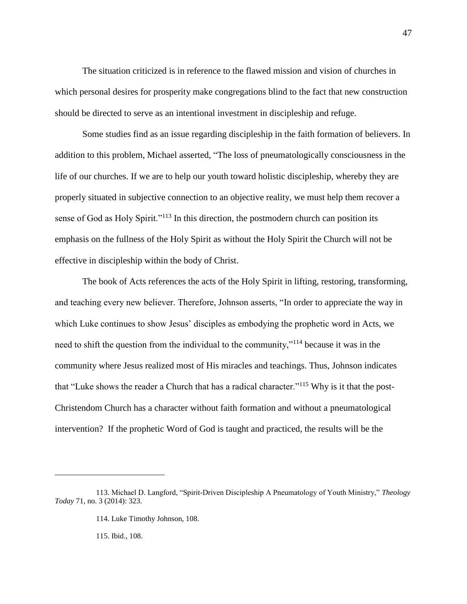The situation criticized is in reference to the flawed mission and vision of churches in which personal desires for prosperity make congregations blind to the fact that new construction should be directed to serve as an intentional investment in discipleship and refuge.

Some studies find as an issue regarding discipleship in the faith formation of believers. In addition to this problem, Michael asserted, "The loss of pneumatologically consciousness in the life of our churches. If we are to help our youth toward holistic discipleship, whereby they are properly situated in subjective connection to an objective reality, we must help them recover a sense of God as Holy Spirit."<sup>113</sup> In this direction, the postmodern church can position its emphasis on the fullness of the Holy Spirit as without the Holy Spirit the Church will not be effective in discipleship within the body of Christ.

The book of Acts references the acts of the Holy Spirit in lifting, restoring, transforming, and teaching every new believer. Therefore, Johnson asserts, "In order to appreciate the way in which Luke continues to show Jesus' disciples as embodying the prophetic word in Acts, we need to shift the question from the individual to the community,"<sup>114</sup> because it was in the community where Jesus realized most of His miracles and teachings. Thus, Johnson indicates that "Luke shows the reader a Church that has a radical character."<sup>115</sup> Why is it that the post-Christendom Church has a character without faith formation and without a pneumatological intervention? If the prophetic Word of God is taught and practiced, the results will be the

115. Ibid., 108.

<sup>113.</sup> Michael D. Langford, "Spirit-Driven Discipleship A Pneumatology of Youth Ministry," *Theology Today* 71, no. 3 (2014): 323.

<sup>114.</sup> Luke Timothy Johnson, 108.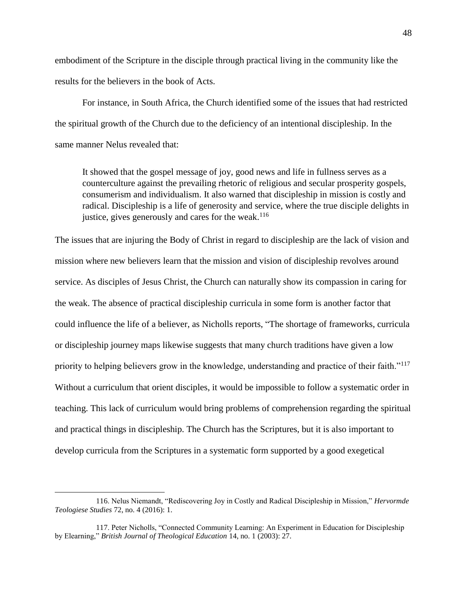embodiment of the Scripture in the disciple through practical living in the community like the results for the believers in the book of Acts.

For instance, in South Africa, the Church identified some of the issues that had restricted the spiritual growth of the Church due to the deficiency of an intentional discipleship. In the same manner Nelus revealed that:

It showed that the gospel message of joy, good news and life in fullness serves as a counterculture against the prevailing rhetoric of religious and secular prosperity gospels, consumerism and individualism. It also warned that discipleship in mission is costly and radical. Discipleship is a life of generosity and service, where the true disciple delights in justice, gives generously and cares for the weak.<sup>116</sup>

The issues that are injuring the Body of Christ in regard to discipleship are the lack of vision and mission where new believers learn that the mission and vision of discipleship revolves around service. As disciples of Jesus Christ, the Church can naturally show its compassion in caring for the weak. The absence of practical discipleship curricula in some form is another factor that could influence the life of a believer, as Nicholls reports, "The shortage of frameworks, curricula or discipleship journey maps likewise suggests that many church traditions have given a low priority to helping believers grow in the knowledge, understanding and practice of their faith."<sup>117</sup> Without a curriculum that orient disciples, it would be impossible to follow a systematic order in teaching. This lack of curriculum would bring problems of comprehension regarding the spiritual and practical things in discipleship. The Church has the Scriptures, but it is also important to develop curricula from the Scriptures in a systematic form supported by a good exegetical

<sup>116.</sup> Nelus Niemandt, "Rediscovering Joy in Costly and Radical Discipleship in Mission," *Hervormde Teologiese Studies* 72, no. 4 (2016): 1.

<sup>117.</sup> Peter Nicholls, "Connected Community Learning: An Experiment in Education for Discipleship by Elearning," *British Journal of Theological Education* 14, no. 1 (2003): 27.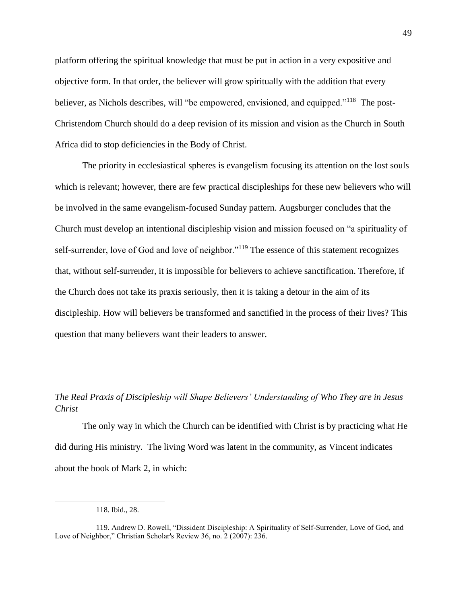platform offering the spiritual knowledge that must be put in action in a very expositive and objective form. In that order, the believer will grow spiritually with the addition that every believer, as Nichols describes, will "be empowered, envisioned, and equipped."<sup>118</sup> The post-Christendom Church should do a deep revision of its mission and vision as the Church in South Africa did to stop deficiencies in the Body of Christ.

The priority in ecclesiastical spheres is evangelism focusing its attention on the lost souls which is relevant; however, there are few practical discipleships for these new believers who will be involved in the same evangelism-focused Sunday pattern. Augsburger concludes that the Church must develop an intentional discipleship vision and mission focused on "a spirituality of self-surrender, love of God and love of neighbor."<sup>119</sup> The essence of this statement recognizes that, without self-surrender, it is impossible for believers to achieve sanctification. Therefore, if the Church does not take its praxis seriously, then it is taking a detour in the aim of its discipleship. How will believers be transformed and sanctified in the process of their lives? This question that many believers want their leaders to answer.

# *The Real Praxis of Discipleship will Shape Believers' Understanding of Who They are in Jesus Christ*

The only way in which the Church can be identified with Christ is by practicing what He did during His ministry. The living Word was latent in the community, as Vincent indicates about the book of Mark 2, in which:

<sup>118.</sup> Ibid., 28.

<sup>119.</sup> Andrew D. Rowell, "Dissident Discipleship: A Spirituality of Self-Surrender, Love of God, and Love of Neighbor," Christian Scholar's Review 36, no. 2 (2007): 236.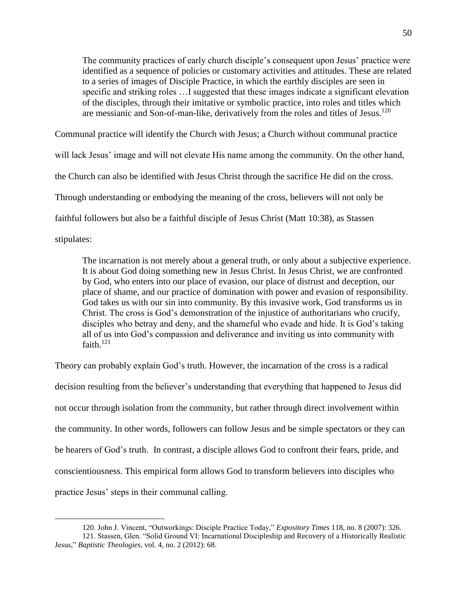The community practices of early church disciple's consequent upon Jesus' practice were identified as a sequence of policies or customary activities and attitudes. These are related to a series of images of Disciple Practice, in which the earthly disciples are seen in specific and striking roles …I suggested that these images indicate a significant elevation of the disciples, through their imitative or symbolic practice, into roles and titles which are messianic and Son-of-man-like, derivatively from the roles and titles of Jesus.<sup>120</sup>

Communal practice will identify the Church with Jesus; a Church without communal practice will lack Jesus' image and will not elevate His name among the community. On the other hand, the Church can also be identified with Jesus Christ through the sacrifice He did on the cross. Through understanding or embodying the meaning of the cross, believers will not only be faithful followers but also be a faithful disciple of Jesus Christ (Matt 10:38), as Stassen stipulates:

The incarnation is not merely about a general truth, or only about a subjective experience. It is about God doing something new in Jesus Christ. In Jesus Christ, we are confronted by God, who enters into our place of evasion, our place of distrust and deception, our place of shame, and our practice of domination with power and evasion of responsibility. God takes us with our sin into community. By this invasive work, God transforms us in Christ. The cross is God's demonstration of the injustice of authoritarians who crucify, disciples who betray and deny, and the shameful who evade and hide. It is God's taking all of us into God's compassion and deliverance and inviting us into community with faith. $121$ 

Theory can probably explain God's truth. However, the incarnation of the cross is a radical decision resulting from the believer's understanding that everything that happened to Jesus did not occur through isolation from the community, but rather through direct involvement within the community. In other words, followers can follow Jesus and be simple spectators or they can be hearers of God's truth. In contrast, a disciple allows God to confront their fears, pride, and conscientiousness. This empirical form allows God to transform believers into disciples who practice Jesus' steps in their communal calling.

<sup>120.</sup> John J. Vincent, "Outworkings: Disciple Practice Today," *Expository Times* 118, no. 8 (2007): 326.

<sup>121.</sup> Stassen, Glen. "Solid Ground VI: Incarnational Discipleship and Recovery of a Historically Realistic Jesus," *Baptistic Theologies*, vol. 4, no. 2 (2012): 68.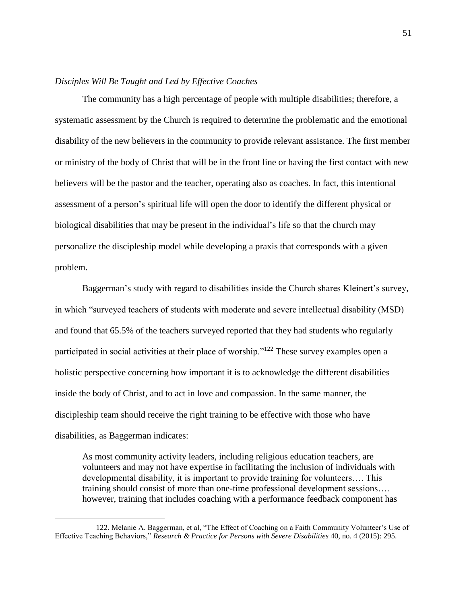## *Disciples Will Be Taught and Led by Effective Coaches*

The community has a high percentage of people with multiple disabilities; therefore, a systematic assessment by the Church is required to determine the problematic and the emotional disability of the new believers in the community to provide relevant assistance. The first member or ministry of the body of Christ that will be in the front line or having the first contact with new believers will be the pastor and the teacher, operating also as coaches. In fact, this intentional assessment of a person's spiritual life will open the door to identify the different physical or biological disabilities that may be present in the individual's life so that the church may personalize the discipleship model while developing a praxis that corresponds with a given problem.

Baggerman's study with regard to disabilities inside the Church shares Kleinert's survey, in which "surveyed teachers of students with moderate and severe intellectual disability (MSD) and found that 65.5% of the teachers surveyed reported that they had students who regularly participated in social activities at their place of worship."<sup>122</sup> These survey examples open a holistic perspective concerning how important it is to acknowledge the different disabilities inside the body of Christ, and to act in love and compassion. In the same manner, the discipleship team should receive the right training to be effective with those who have disabilities, as Baggerman indicates:

As most community activity leaders, including religious education teachers, are volunteers and may not have expertise in facilitating the inclusion of individuals with developmental disability, it is important to provide training for volunteers…. This training should consist of more than one-time professional development sessions…. however, training that includes coaching with a performance feedback component has

<sup>122.</sup> Melanie A. Baggerman, et al, "The Effect of Coaching on a Faith Community Volunteer's Use of Effective Teaching Behaviors," *Research & Practice for Persons with Severe Disabilities* 40, no. 4 (2015): 295.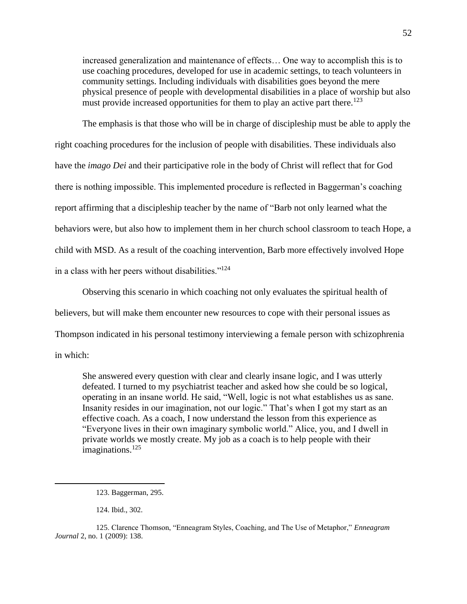increased generalization and maintenance of effects… One way to accomplish this is to use coaching procedures, developed for use in academic settings, to teach volunteers in community settings. Including individuals with disabilities goes beyond the mere physical presence of people with developmental disabilities in a place of worship but also must provide increased opportunities for them to play an active part there.<sup>123</sup>

The emphasis is that those who will be in charge of discipleship must be able to apply the right coaching procedures for the inclusion of people with disabilities. These individuals also have the *imago Dei* and their participative role in the body of Christ will reflect that for God there is nothing impossible. This implemented procedure is reflected in Baggerman's coaching report affirming that a discipleship teacher by the name of "Barb not only learned what the behaviors were, but also how to implement them in her church school classroom to teach Hope, a child with MSD. As a result of the coaching intervention, Barb more effectively involved Hope in a class with her peers without disabilities."<sup>124</sup>

Observing this scenario in which coaching not only evaluates the spiritual health of believers, but will make them encounter new resources to cope with their personal issues as Thompson indicated in his personal testimony interviewing a female person with schizophrenia in which:

She answered every question with clear and clearly insane logic, and I was utterly defeated. I turned to my psychiatrist teacher and asked how she could be so logical, operating in an insane world. He said, "Well, logic is not what establishes us as sane. Insanity resides in our imagination, not our logic." That's when I got my start as an effective coach. As a coach, I now understand the lesson from this experience as "Everyone lives in their own imaginary symbolic world." Alice, you, and I dwell in private worlds we mostly create. My job as a coach is to help people with their imaginations. $125$ 

124. Ibid., 302.

<sup>123.</sup> Baggerman, 295.

<sup>125.</sup> Clarence Thomson, "Enneagram Styles, Coaching, and The Use of Metaphor," *Enneagram Journal* 2, no. 1 (2009): 138.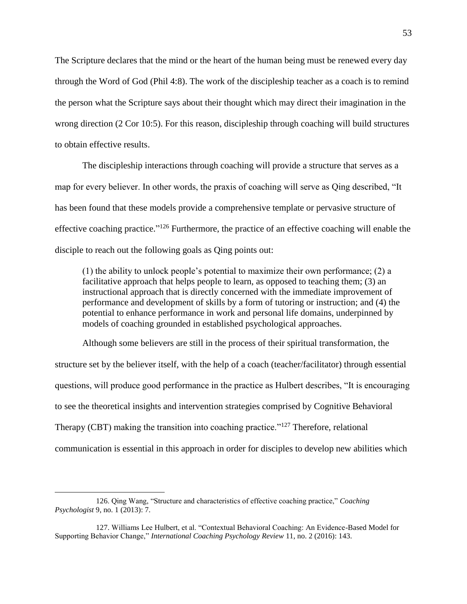The Scripture declares that the mind or the heart of the human being must be renewed every day through the Word of God (Phil 4:8). The work of the discipleship teacher as a coach is to remind the person what the Scripture says about their thought which may direct their imagination in the wrong direction (2 Cor 10:5). For this reason, discipleship through coaching will build structures to obtain effective results.

The discipleship interactions through coaching will provide a structure that serves as a map for every believer. In other words, the praxis of coaching will serve as Qing described, "It has been found that these models provide a comprehensive template or pervasive structure of effective coaching practice."<sup>126</sup> Furthermore, the practice of an effective coaching will enable the disciple to reach out the following goals as Qing points out:

(1) the ability to unlock people's potential to maximize their own performance; (2) a facilitative approach that helps people to learn, as opposed to teaching them; (3) an instructional approach that is directly concerned with the immediate improvement of performance and development of skills by a form of tutoring or instruction; and (4) the potential to enhance performance in work and personal life domains, underpinned by models of coaching grounded in established psychological approaches.

Although some believers are still in the process of their spiritual transformation, the structure set by the believer itself, with the help of a coach (teacher/facilitator) through essential questions, will produce good performance in the practice as Hulbert describes, "It is encouraging to see the theoretical insights and intervention strategies comprised by Cognitive Behavioral Therapy (CBT) making the transition into coaching practice."<sup>127</sup> Therefore, relational communication is essential in this approach in order for disciples to develop new abilities which

<sup>126.</sup> Qing Wang, "Structure and characteristics of effective coaching practice," *Coaching Psychologist* 9, no. 1 (2013): 7.

<sup>127.</sup> Williams Lee Hulbert, et al. "Contextual Behavioral Coaching: An Evidence-Based Model for Supporting Behavior Change," *International Coaching Psychology Review* 11, no. 2 (2016): 143.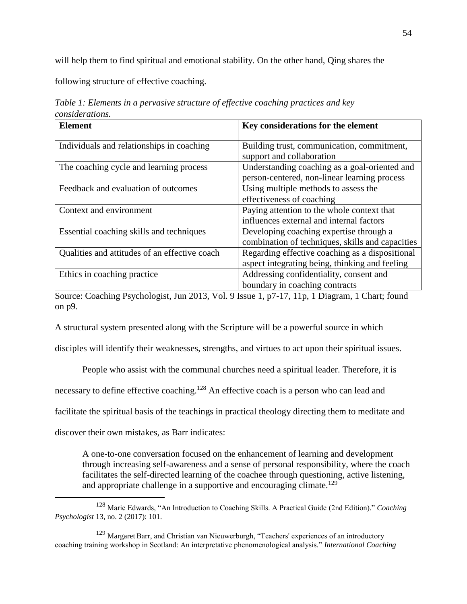will help them to find spiritual and emotional stability. On the other hand, Qing shares the

following structure of effective coaching.

| <b>Element</b>                                | Key considerations for the element                                                                |  |  |
|-----------------------------------------------|---------------------------------------------------------------------------------------------------|--|--|
| Individuals and relationships in coaching     | Building trust, communication, commitment,<br>support and collaboration                           |  |  |
| The coaching cycle and learning process       | Understanding coaching as a goal-oriented and<br>person-centered, non-linear learning process     |  |  |
| Feedback and evaluation of outcomes           | Using multiple methods to assess the<br>effectiveness of coaching                                 |  |  |
| Context and environment                       | Paying attention to the whole context that<br>influences external and internal factors            |  |  |
| Essential coaching skills and techniques      | Developing coaching expertise through a<br>combination of techniques, skills and capacities       |  |  |
| Qualities and attitudes of an effective coach | Regarding effective coaching as a dispositional<br>aspect integrating being, thinking and feeling |  |  |
| Ethics in coaching practice                   | Addressing confidentiality, consent and<br>boundary in coaching contracts                         |  |  |

*Table 1: Elements in a pervasive structure of effective coaching practices and key considerations.*

Source: Coaching Psychologist, Jun 2013, Vol. 9 Issue 1, p7-17, 11p, 1 Diagram, 1 Chart; found on p9.

A structural system presented along with the Scripture will be a powerful source in which

disciples will identify their weaknesses, strengths, and virtues to act upon their spiritual issues.

People who assist with the communal churches need a spiritual leader. Therefore, it is

necessary to define effective coaching.<sup>128</sup> An effective coach is a person who can lead and

facilitate the spiritual basis of the teachings in practical theology directing them to meditate and

discover their own mistakes, as Barr indicates:

 $\overline{a}$ 

A one-to-one conversation focused on the enhancement of learning and development through increasing self-awareness and a sense of personal responsibility, where the coach facilitates the self-directed learning of the coachee through questioning, active listening, and appropriate challenge in a supportive and encouraging climate.<sup>129</sup>

<sup>128</sup> Marie Edwards, "An Introduction to Coaching Skills. A Practical Guide (2nd Edition)." *Coaching Psychologist* 13, no. 2 (2017): 101.

<sup>129</sup> Margaret Barr, and Christian van Nieuwerburgh, "Teachers' experiences of an introductory coaching training workshop in Scotland: An interpretative phenomenological analysis." *International Coaching*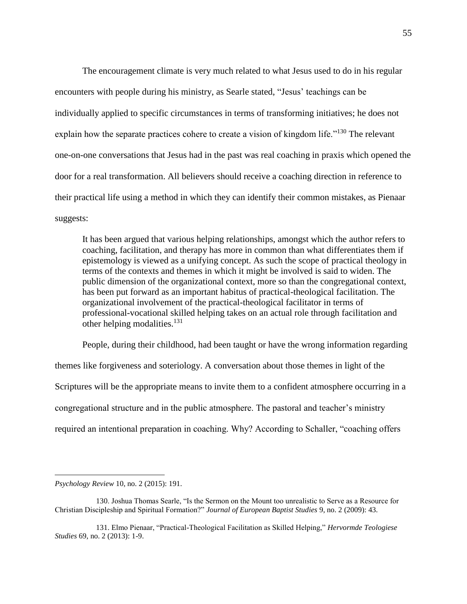The encouragement climate is very much related to what Jesus used to do in his regular encounters with people during his ministry, as Searle stated, "Jesus' teachings can be individually applied to specific circumstances in terms of transforming initiatives; he does not explain how the separate practices cohere to create a vision of kingdom life."<sup>130</sup> The relevant one-on-one conversations that Jesus had in the past was real coaching in praxis which opened the door for a real transformation. All believers should receive a coaching direction in reference to their practical life using a method in which they can identify their common mistakes, as Pienaar suggests:

It has been argued that various helping relationships, amongst which the author refers to coaching, facilitation, and therapy has more in common than what differentiates them if epistemology is viewed as a unifying concept. As such the scope of practical theology in terms of the contexts and themes in which it might be involved is said to widen. The public dimension of the organizational context, more so than the congregational context, has been put forward as an important habitus of practical-theological facilitation. The organizational involvement of the practical-theological facilitator in terms of professional-vocational skilled helping takes on an actual role through facilitation and other helping modalities.<sup>131</sup>

People, during their childhood, had been taught or have the wrong information regarding themes like forgiveness and soteriology. A conversation about those themes in light of the Scriptures will be the appropriate means to invite them to a confident atmosphere occurring in a congregational structure and in the public atmosphere. The pastoral and teacher's ministry required an intentional preparation in coaching. Why? According to Schaller, "coaching offers

*Psychology Review* 10, no. 2 (2015): 191.

<sup>130.</sup> Joshua Thomas Searle, "Is the Sermon on the Mount too unrealistic to Serve as a Resource for Christian Discipleship and Spiritual Formation?" *Journal of European Baptist Studies* 9, no. 2 (2009): 43.

<sup>131.</sup> Elmo Pienaar, "Practical-Theological Facilitation as Skilled Helping," *Hervormde Teologiese Studies* 69, no. 2 (2013): 1-9.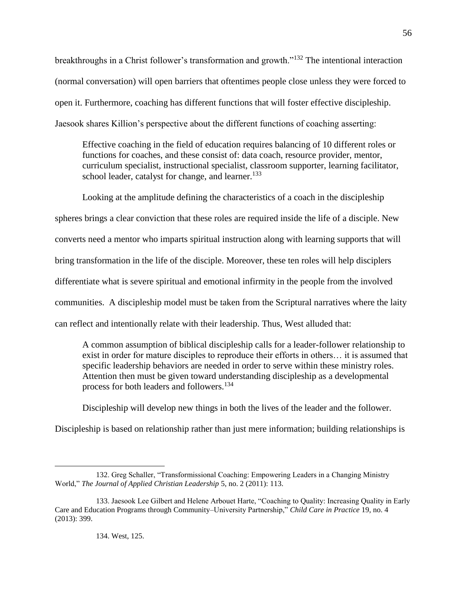breakthroughs in a Christ follower's transformation and growth."<sup>132</sup> The intentional interaction (normal conversation) will open barriers that oftentimes people close unless they were forced to open it. Furthermore, coaching has different functions that will foster effective discipleship. Jaesook shares Killion's perspective about the different functions of coaching asserting:

Effective coaching in the field of education requires balancing of 10 different roles or functions for coaches, and these consist of: data coach, resource provider, mentor, curriculum specialist, instructional specialist, classroom supporter, learning facilitator, school leader, catalyst for change, and learner.<sup>133</sup>

Looking at the amplitude defining the characteristics of a coach in the discipleship spheres brings a clear conviction that these roles are required inside the life of a disciple. New converts need a mentor who imparts spiritual instruction along with learning supports that will bring transformation in the life of the disciple. Moreover, these ten roles will help disciplers differentiate what is severe spiritual and emotional infirmity in the people from the involved communities. A discipleship model must be taken from the Scriptural narratives where the laity can reflect and intentionally relate with their leadership. Thus, West alluded that:

A common assumption of biblical discipleship calls for a leader-follower relationship to exist in order for mature disciples to reproduce their efforts in others… it is assumed that specific leadership behaviors are needed in order to serve within these ministry roles. Attention then must be given toward understanding discipleship as a developmental process for both leaders and followers.<sup>134</sup>

Discipleship will develop new things in both the lives of the leader and the follower.

Discipleship is based on relationship rather than just mere information; building relationships is

<sup>132.</sup> Greg Schaller, "Transformissional Coaching: Empowering Leaders in a Changing Ministry World," *The Journal of Applied Christian Leadership* 5, no. 2 (2011): 113.

<sup>133.</sup> Jaesook Lee Gilbert and Helene Arbouet Harte, "Coaching to Quality: Increasing Quality in Early Care and Education Programs through Community–University Partnership," *Child Care in Practice* 19, no. 4 (2013): 399.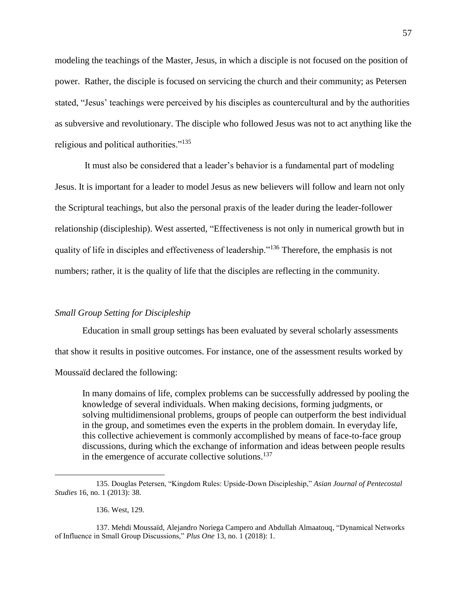modeling the teachings of the Master, Jesus, in which a disciple is not focused on the position of power. Rather, the disciple is focused on servicing the church and their community; as Petersen stated, "Jesus' teachings were perceived by his disciples as countercultural and by the authorities as subversive and revolutionary. The disciple who followed Jesus was not to act anything like the religious and political authorities."<sup>135</sup>

It must also be considered that a leader's behavior is a fundamental part of modeling Jesus. It is important for a leader to model Jesus as new believers will follow and learn not only the Scriptural teachings, but also the personal praxis of the leader during the leader-follower relationship (discipleship). West asserted, "Effectiveness is not only in numerical growth but in quality of life in disciples and effectiveness of leadership."<sup>136</sup> Therefore, the emphasis is not numbers; rather, it is the quality of life that the disciples are reflecting in the community.

# *Small Group Setting for Discipleship*

Education in small group settings has been evaluated by several scholarly assessments that show it results in positive outcomes. For instance, one of the assessment results worked by Moussaïd declared the following:

In many domains of life, complex problems can be successfully addressed by pooling the knowledge of several individuals. When making decisions, forming judgments, or solving multidimensional problems, groups of people can outperform the best individual in the group, and sometimes even the experts in the problem domain. In everyday life, this collective achievement is commonly accomplished by means of face-to-face group discussions, during which the exchange of information and ideas between people results in the emergence of accurate collective solutions.<sup>137</sup>

136. West, 129.

<sup>135.</sup> Douglas Petersen, "Kingdom Rules: Upside-Down Discipleship," *Asian Journal of Pentecostal Studies* 16, no. 1 (2013): 38.

<sup>137.</sup> Mehdi Moussaïd, Alejandro Noriega Campero and Abdullah Almaatouq, "Dynamical Networks of Influence in Small Group Discussions," *Plus One* 13, no. 1 (2018): 1.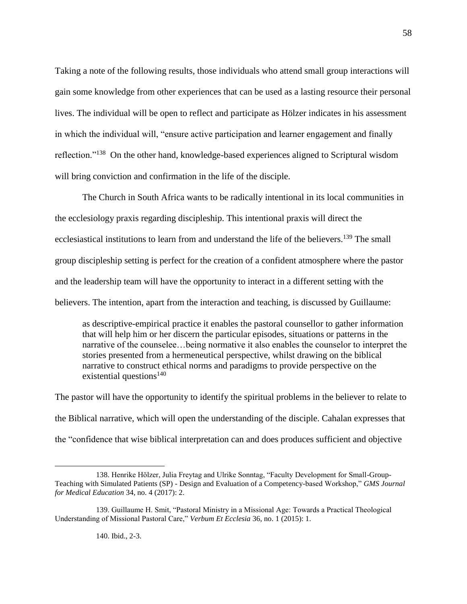Taking a note of the following results, those individuals who attend small group interactions will gain some knowledge from other experiences that can be used as a lasting resource their personal lives. The individual will be open to reflect and participate as Hölzer indicates in his assessment in which the individual will, "ensure active participation and learner engagement and finally reflection."<sup>138</sup> On the other hand, knowledge-based experiences aligned to Scriptural wisdom will bring conviction and confirmation in the life of the disciple.

The Church in South Africa wants to be radically intentional in its local communities in the ecclesiology praxis regarding discipleship. This intentional praxis will direct the ecclesiastical institutions to learn from and understand the life of the believers.<sup>139</sup> The small group discipleship setting is perfect for the creation of a confident atmosphere where the pastor and the leadership team will have the opportunity to interact in a different setting with the believers. The intention, apart from the interaction and teaching, is discussed by Guillaume:

as descriptive-empirical practice it enables the pastoral counsellor to gather information that will help him or her discern the particular episodes, situations or patterns in the narrative of the counselee…being normative it also enables the counselor to interpret the stories presented from a hermeneutical perspective, whilst drawing on the biblical narrative to construct ethical norms and paradigms to provide perspective on the existential questions<sup>140</sup>

The pastor will have the opportunity to identify the spiritual problems in the believer to relate to the Biblical narrative, which will open the understanding of the disciple. Cahalan expresses that the "confidence that wise biblical interpretation can and does produces sufficient and objective

140. Ibid., 2-3.

<sup>138.</sup> Henrike Hölzer, Julia Freytag and Ulrike Sonntag, "Faculty Development for Small-Group-Teaching with Simulated Patients (SP) - Design and Evaluation of a Competency-based Workshop," *GMS Journal for Medical Education* 34, no. 4 (2017): 2.

<sup>139.</sup> Guillaume H. Smit, "Pastoral Ministry in a Missional Age: Towards a Practical Theological Understanding of Missional Pastoral Care," *Verbum Et Ecclesia* 36, no. 1 (2015): 1.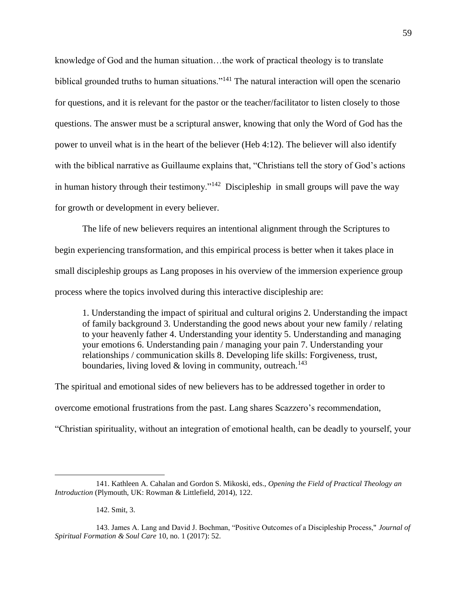knowledge of God and the human situation…the work of practical theology is to translate biblical grounded truths to human situations."<sup>141</sup> The natural interaction will open the scenario for questions, and it is relevant for the pastor or the teacher/facilitator to listen closely to those questions. The answer must be a scriptural answer, knowing that only the Word of God has the power to unveil what is in the heart of the believer (Heb 4:12). The believer will also identify with the biblical narrative as Guillaume explains that, "Christians tell the story of God's actions in human history through their testimony."<sup>142</sup> Discipleship in small groups will pave the way for growth or development in every believer.

The life of new believers requires an intentional alignment through the Scriptures to begin experiencing transformation, and this empirical process is better when it takes place in small discipleship groups as Lang proposes in his overview of the immersion experience group process where the topics involved during this interactive discipleship are:

1. Understanding the impact of spiritual and cultural origins 2. Understanding the impact of family background 3. Understanding the good news about your new family / relating to your heavenly father 4. Understanding your identity 5. Understanding and managing your emotions 6. Understanding pain / managing your pain 7. Understanding your relationships / communication skills 8. Developing life skills: Forgiveness, trust, boundaries, living loved & loving in community, outreach.<sup>143</sup>

The spiritual and emotional sides of new believers has to be addressed together in order to overcome emotional frustrations from the past. Lang shares Scazzero's recommendation, "Christian spirituality, without an integration of emotional health, can be deadly to yourself, your

<sup>141.</sup> Kathleen A. Cahalan and Gordon S. Mikoski, eds., *Opening the Field of Practical Theology an Introduction* (Plymouth, UK: Rowman & Littlefield, 2014), 122.

<sup>142.</sup> Smit, 3.

<sup>143.</sup> James A. Lang and David J. Bochman, "Positive Outcomes of a Discipleship Process," *Journal of Spiritual Formation & Soul Care* 10, no. 1 (2017): 52.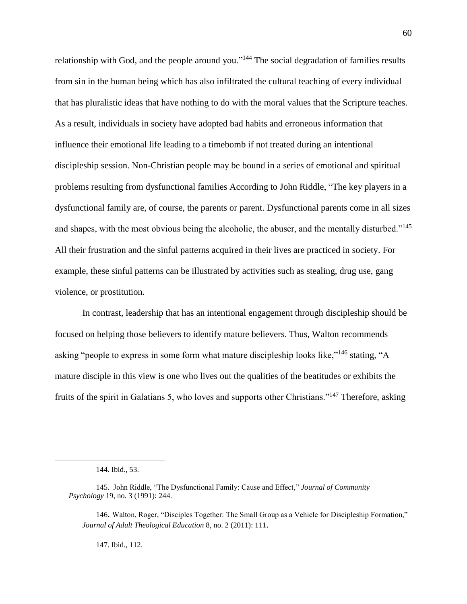relationship with God, and the people around you."<sup>144</sup> The social degradation of families results from sin in the human being which has also infiltrated the cultural teaching of every individual that has pluralistic ideas that have nothing to do with the moral values that the Scripture teaches. As a result, individuals in society have adopted bad habits and erroneous information that influence their emotional life leading to a timebomb if not treated during an intentional discipleship session. Non-Christian people may be bound in a series of emotional and spiritual problems resulting from dysfunctional families According to John Riddle, "The key players in a dysfunctional family are, of course, the parents or parent. Dysfunctional parents come in all sizes and shapes, with the most obvious being the alcoholic, the abuser, and the mentally disturbed."<sup>145</sup> All their frustration and the sinful patterns acquired in their lives are practiced in society. For example, these sinful patterns can be illustrated by activities such as stealing, drug use, gang violence, or prostitution.

In contrast, leadership that has an intentional engagement through discipleship should be focused on helping those believers to identify mature believers. Thus, Walton recommends asking "people to express in some form what mature discipleship looks like,"<sup>146</sup> stating, "A mature disciple in this view is one who lives out the qualities of the beatitudes or exhibits the fruits of the spirit in Galatians 5, who loves and supports other Christians."<sup>147</sup> Therefore, asking

 $\overline{a}$ 

147. Ibid., 112.

<sup>144.</sup> Ibid., 53.

<sup>145.</sup> John Riddle, "The Dysfunctional Family: Cause and Effect," *Journal of Community Psychology* 19, no. 3 (1991): 244.

<sup>146</sup>. Walton, Roger, "Disciples Together: The Small Group as a Vehicle for Discipleship Formation," *Journal of Adult Theological Education* 8, no. 2 (2011): 111.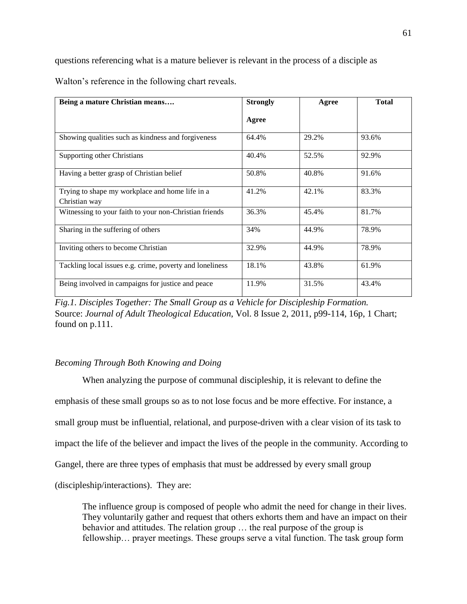questions referencing what is a mature believer is relevant in the process of a disciple as

Walton's reference in the following chart reveals.

| Being a mature Christian means                           | <b>Strongly</b> | Agree | <b>Total</b> |
|----------------------------------------------------------|-----------------|-------|--------------|
|                                                          | Agree           |       |              |
| Showing qualities such as kindness and forgiveness       | 64.4%           | 29.2% | 93.6%        |
| Supporting other Christians                              | 40.4%           | 52.5% | 92.9%        |
| Having a better grasp of Christian belief                | 50.8%           | 40.8% | 91.6%        |
| Trying to shape my workplace and home life in a          | 41.2%           | 42.1% | 83.3%        |
| Christian way                                            |                 |       |              |
| Witnessing to your faith to your non-Christian friends   | 36.3%           | 45.4% | 81.7%        |
| Sharing in the suffering of others                       | 34%             | 44.9% | 78.9%        |
| Inviting others to become Christian                      | 32.9%           | 44.9% | 78.9%        |
| Tackling local issues e.g. crime, poverty and loneliness | 18.1%           | 43.8% | 61.9%        |
| Being involved in campaigns for justice and peace        | 11.9%           | 31.5% | 43.4%        |

*Fig.1. Disciples Together: The Small Group as a Vehicle for Discipleship Formation.* Source: *Journal of Adult Theological Education*, Vol. 8 Issue 2, 2011, p99-114, 16p, 1 Chart; found on p.111.

# *Becoming Through Both Knowing and Doing*

When analyzing the purpose of communal discipleship, it is relevant to define the emphasis of these small groups so as to not lose focus and be more effective. For instance, a small group must be influential, relational, and purpose-driven with a clear vision of its task to impact the life of the believer and impact the lives of the people in the community. According to Gangel, there are three types of emphasis that must be addressed by every small group (discipleship/interactions). They are:

The influence group is composed of people who admit the need for change in their lives. They voluntarily gather and request that others exhorts them and have an impact on their behavior and attitudes. The relation group … the real purpose of the group is fellowship… prayer meetings. These groups serve a vital function. The task group form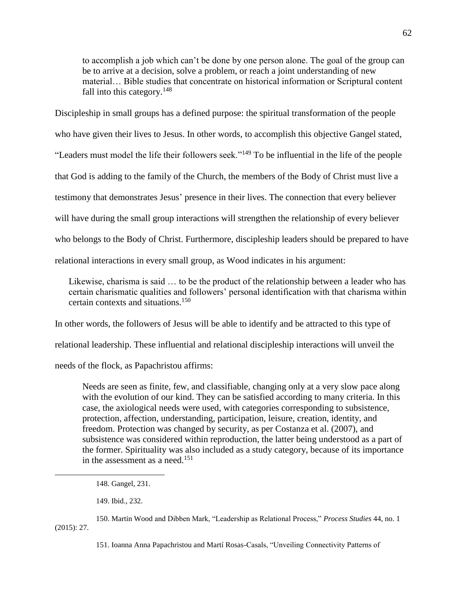to accomplish a job which can't be done by one person alone. The goal of the group can be to arrive at a decision, solve a problem, or reach a joint understanding of new material… Bible studies that concentrate on historical information or Scriptural content fall into this category.<sup>148</sup>

Discipleship in small groups has a defined purpose: the spiritual transformation of the people who have given their lives to Jesus. In other words, to accomplish this objective Gangel stated, "Leaders must model the life their followers seek."<sup>149</sup> To be influential in the life of the people that God is adding to the family of the Church, the members of the Body of Christ must live a testimony that demonstrates Jesus' presence in their lives. The connection that every believer will have during the small group interactions will strengthen the relationship of every believer who belongs to the Body of Christ. Furthermore, discipleship leaders should be prepared to have relational interactions in every small group, as Wood indicates in his argument:

Likewise, charisma is said … to be the product of the relationship between a leader who has certain charismatic qualities and followers' personal identification with that charisma within certain contexts and situations.<sup>150</sup>

In other words, the followers of Jesus will be able to identify and be attracted to this type of

relational leadership. These influential and relational discipleship interactions will unveil the

needs of the flock, as Papachristou affirms:

Needs are seen as finite, few, and classifiable, changing only at a very slow pace along with the evolution of our kind. They can be satisfied according to many criteria. In this case, the axiological needs were used, with categories corresponding to subsistence, protection, affection, understanding, participation, leisure, creation, identity, and freedom. Protection was changed by security, as per Costanza et al. (2007), and subsistence was considered within reproduction, the latter being understood as a part of the former. Spirituality was also included as a study category, because of its importance in the assessment as a need.<sup>151</sup>

149. Ibid., 232.

 $\overline{a}$ 

150. Martin Wood and Dibben Mark, "Leadership as Relational Process," *Process Studies* 44, no. 1 (2015): 27.

151. Ioanna Anna Papachristou and Martí Rosas-Casals, "Unveiling Connectivity Patterns of

<sup>148.</sup> Gangel, 231.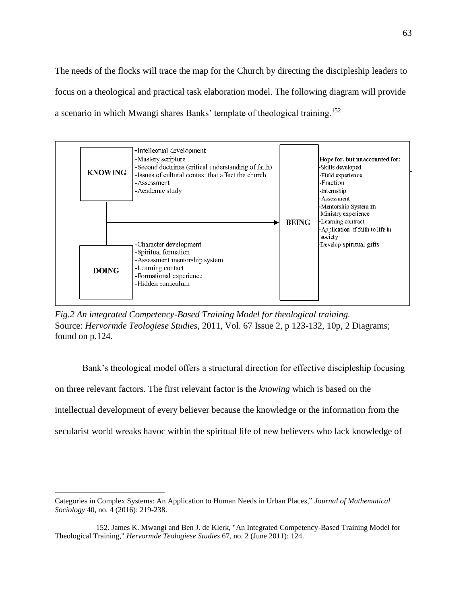The needs of the flocks will trace the map for the Church by directing the discipleship leaders to focus on a theological and practical task elaboration model. The following diagram will provide a scenario in which Mwangi shares Banks' template of theological training.<sup>152</sup>



*Fig.2 An integrated Competency-Based Training Model for theological training.* Source: *Hervormde Teologiese Studies*, 2011, Vol. 67 Issue 2, p 123-132, 10p, 2 Diagrams; found on p.124.

Bank's theological model offers a structural direction for effective discipleship focusing on three relevant factors. The first relevant factor is the *knowing* which is based on the intellectual development of every believer because the knowledge or the information from the secularist world wreaks havoc within the spiritual life of new believers who lack knowledge of

Categories in Complex Systems: An Application to Human Needs in Urban Places," *Journal of Mathematical Sociology* 40, no. 4 (2016): 219-238.

<sup>152.</sup> James K. Mwangi and Ben J. de Klerk, "An Integrated Competency-Based Training Model for Theological Training," *Hervormde Teologiese Studies* 67, no. 2 (June 2011): 124.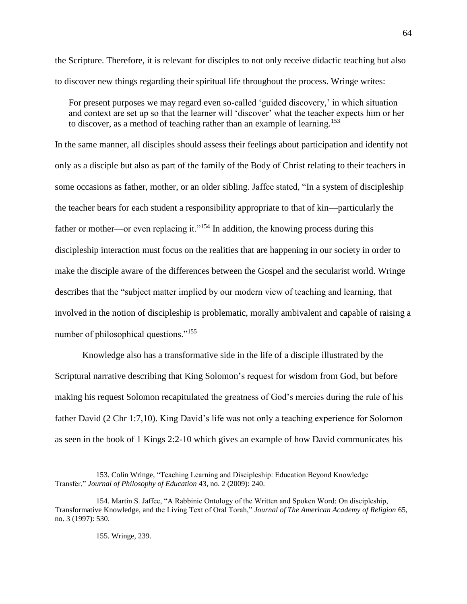the Scripture. Therefore, it is relevant for disciples to not only receive didactic teaching but also to discover new things regarding their spiritual life throughout the process. Wringe writes:

For present purposes we may regard even so-called 'guided discovery,' in which situation and context are set up so that the learner will 'discover' what the teacher expects him or her to discover, as a method of teaching rather than an example of learning.<sup>153</sup>

In the same manner, all disciples should assess their feelings about participation and identify not only as a disciple but also as part of the family of the Body of Christ relating to their teachers in some occasions as father, mother, or an older sibling. Jaffee stated, "In a system of discipleship the teacher bears for each student a responsibility appropriate to that of kin—particularly the father or mother—or even replacing it."<sup>154</sup> In addition, the knowing process during this discipleship interaction must focus on the realities that are happening in our society in order to make the disciple aware of the differences between the Gospel and the secularist world. Wringe describes that the "subject matter implied by our modern view of teaching and learning, that involved in the notion of discipleship is problematic, morally ambivalent and capable of raising a number of philosophical questions."<sup>155</sup>

Knowledge also has a transformative side in the life of a disciple illustrated by the Scriptural narrative describing that King Solomon's request for wisdom from God, but before making his request Solomon recapitulated the greatness of God's mercies during the rule of his father David (2 Chr 1:7,10). King David's life was not only a teaching experience for Solomon as seen in the book of 1 Kings 2:2-10 which gives an example of how David communicates his

<sup>153.</sup> Colin Wringe, "Teaching Learning and Discipleship: Education Beyond Knowledge Transfer," *Journal of Philosophy of Education* 43, no. 2 (2009): 240.

<sup>154.</sup> Martin S. Jaffee, "A Rabbinic Ontology of the Written and Spoken Word: On discipleship, Transformative Knowledge, and the Living Text of Oral Torah," *Journal of The American Academy of Religion* 65, no. 3 (1997): 530.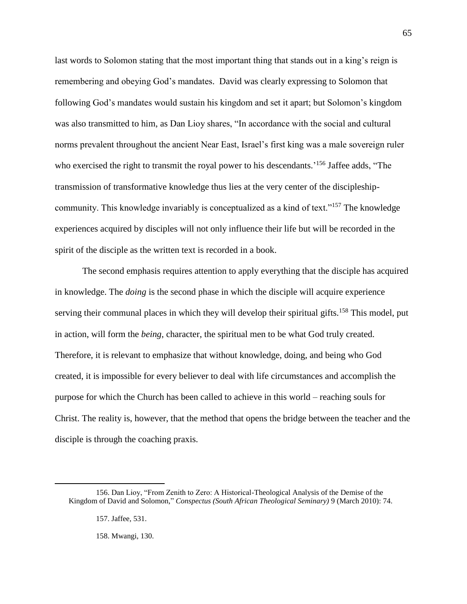last words to Solomon stating that the most important thing that stands out in a king's reign is remembering and obeying God's mandates. David was clearly expressing to Solomon that following God's mandates would sustain his kingdom and set it apart; but Solomon's kingdom was also transmitted to him, as Dan Lioy shares, "In accordance with the social and cultural norms prevalent throughout the ancient Near East, Israel's first king was a male sovereign ruler who exercised the right to transmit the royal power to his descendants.<sup>'156</sup> Jaffee adds, "The transmission of transformative knowledge thus lies at the very center of the discipleshipcommunity. This knowledge invariably is conceptualized as a kind of text."<sup>157</sup> The knowledge experiences acquired by disciples will not only influence their life but will be recorded in the spirit of the disciple as the written text is recorded in a book.

The second emphasis requires attention to apply everything that the disciple has acquired in knowledge. The *doing* is the second phase in which the disciple will acquire experience serving their communal places in which they will develop their spiritual gifts.<sup>158</sup> This model, put in action, will form the *being*, character, the spiritual men to be what God truly created. Therefore, it is relevant to emphasize that without knowledge, doing, and being who God created, it is impossible for every believer to deal with life circumstances and accomplish the purpose for which the Church has been called to achieve in this world – reaching souls for Christ. The reality is, however, that the method that opens the bridge between the teacher and the disciple is through the coaching praxis.

 $\overline{a}$ 

158. Mwangi, 130.

<sup>156.</sup> Dan Lioy, "From Zenith to Zero: A Historical-Theological Analysis of the Demise of the Kingdom of David and Solomon," *Conspectus (South African Theological Seminary)* 9 (March 2010): 74.

<sup>157.</sup> Jaffee, 531.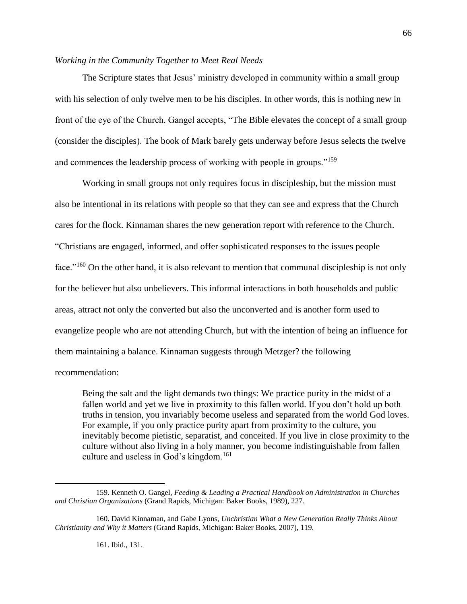## *Working in the Community Together to Meet Real Needs*

The Scripture states that Jesus' ministry developed in community within a small group with his selection of only twelve men to be his disciples. In other words, this is nothing new in front of the eye of the Church. Gangel accepts, "The Bible elevates the concept of a small group (consider the disciples). The book of Mark barely gets underway before Jesus selects the twelve and commences the leadership process of working with people in groups."<sup>159</sup>

Working in small groups not only requires focus in discipleship, but the mission must also be intentional in its relations with people so that they can see and express that the Church cares for the flock. Kinnaman shares the new generation report with reference to the Church. "Christians are engaged, informed, and offer sophisticated responses to the issues people face."<sup>160</sup> On the other hand, it is also relevant to mention that communal discipleship is not only for the believer but also unbelievers. This informal interactions in both households and public areas, attract not only the converted but also the unconverted and is another form used to evangelize people who are not attending Church, but with the intention of being an influence for them maintaining a balance. Kinnaman suggests through Metzger? the following recommendation:

Being the salt and the light demands two things: We practice purity in the midst of a fallen world and yet we live in proximity to this fallen world. If you don't hold up both truths in tension, you invariably become useless and separated from the world God loves. For example, if you only practice purity apart from proximity to the culture, you inevitably become pietistic, separatist, and conceited. If you live in close proximity to the culture without also living in a holy manner, you become indistinguishable from fallen culture and useless in God's kingdom.<sup>161</sup>

66

161. Ibid., 131.

<sup>159.</sup> Kenneth O. Gangel, *Feeding & Leading a Practical Handbook on Administration in Churches and Christian Organizations* (Grand Rapids, Michigan: Baker Books, 1989), 227.

<sup>160.</sup> David Kinnaman, and Gabe Lyons, *Unchristian What a New Generation Really Thinks About Christianity and Why it Matters* (Grand Rapids, Michigan: Baker Books, 2007), 119.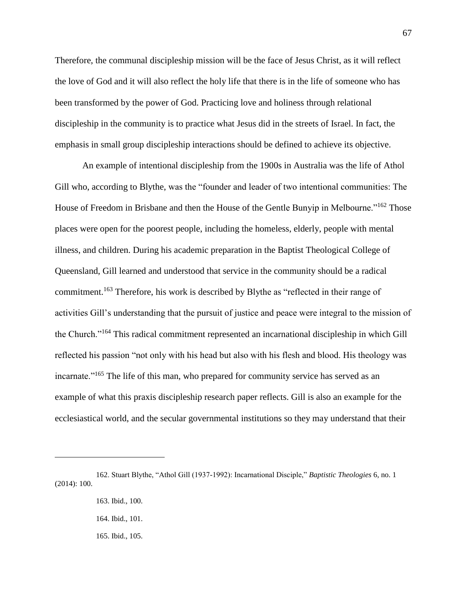Therefore, the communal discipleship mission will be the face of Jesus Christ, as it will reflect the love of God and it will also reflect the holy life that there is in the life of someone who has been transformed by the power of God. Practicing love and holiness through relational discipleship in the community is to practice what Jesus did in the streets of Israel. In fact, the emphasis in small group discipleship interactions should be defined to achieve its objective.

An example of intentional discipleship from the 1900s in Australia was the life of Athol Gill who, according to Blythe, was the "founder and leader of two intentional communities: The House of Freedom in Brisbane and then the House of the Gentle Bunyip in Melbourne."<sup>162</sup> Those places were open for the poorest people, including the homeless, elderly, people with mental illness, and children. During his academic preparation in the Baptist Theological College of Queensland, Gill learned and understood that service in the community should be a radical commitment.<sup>163</sup> Therefore, his work is described by Blythe as "reflected in their range of activities Gill's understanding that the pursuit of justice and peace were integral to the mission of the Church."<sup>164</sup> This radical commitment represented an incarnational discipleship in which Gill reflected his passion "not only with his head but also with his flesh and blood. His theology was incarnate."<sup>165</sup> The life of this man, who prepared for community service has served as an example of what this praxis discipleship research paper reflects. Gill is also an example for the ecclesiastical world, and the secular governmental institutions so they may understand that their

<sup>162.</sup> Stuart Blythe, "Athol Gill (1937-1992): Incarnational Disciple," *Baptistic Theologies* 6, no. 1 (2014): 100.

<sup>163.</sup> Ibid., 100.

<sup>164.</sup> Ibid., 101.

<sup>165.</sup> Ibid., 105.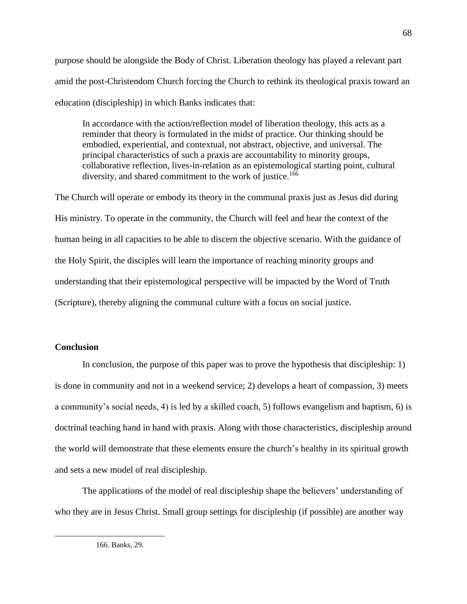purpose should be alongside the Body of Christ. Liberation theology has played a relevant part amid the post-Christendom Church forcing the Church to rethink its theological praxis toward an education (discipleship) in which Banks indicates that:

In accordance with the action/reflection model of liberation theology, this acts as a reminder that theory is formulated in the midst of practice. Our thinking should be embodied, experiential, and contextual, not abstract, objective, and universal. The principal characteristics of such a praxis are accountability to minority groups, collaborative reflection, lives-in-relation as an epistemological starting point, cultural diversity, and shared commitment to the work of justice.<sup>166</sup>

The Church will operate or embody its theory in the communal praxis just as Jesus did during His ministry. To operate in the community, the Church will feel and hear the context of the human being in all capacities to be able to discern the objective scenario. With the guidance of the Holy Spirit, the disciples will learn the importance of reaching minority groups and understanding that their epistemological perspective will be impacted by the Word of Truth (Scripture), thereby aligning the communal culture with a focus on social justice.

# **Conclusion**

 $\overline{a}$ 

In conclusion, the purpose of this paper was to prove the hypothesis that discipleship: 1) is done in community and not in a weekend service; 2) develops a heart of compassion, 3) meets a community's social needs, 4) is led by a skilled coach, 5) follows evangelism and baptism, 6) is doctrinal teaching hand in hand with praxis. Along with those characteristics, discipleship around the world will demonstrate that these elements ensure the church's healthy in its spiritual growth and sets a new model of real discipleship.

The applications of the model of real discipleship shape the believers' understanding of who they are in Jesus Christ. Small group settings for discipleship (if possible) are another way

<sup>166.</sup> Banks, 29.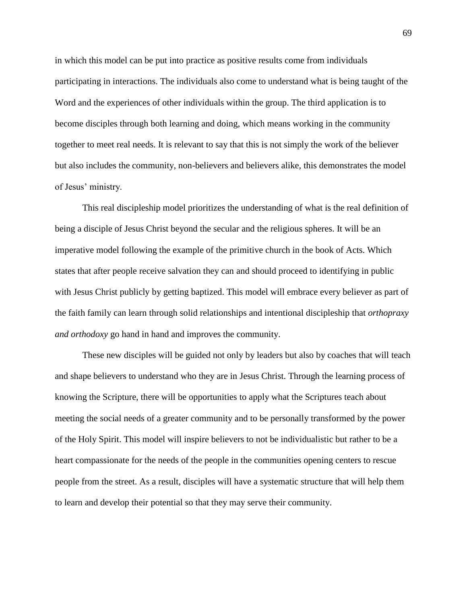in which this model can be put into practice as positive results come from individuals participating in interactions. The individuals also come to understand what is being taught of the Word and the experiences of other individuals within the group. The third application is to become disciples through both learning and doing, which means working in the community together to meet real needs. It is relevant to say that this is not simply the work of the believer but also includes the community, non-believers and believers alike, this demonstrates the model of Jesus' ministry.

This real discipleship model prioritizes the understanding of what is the real definition of being a disciple of Jesus Christ beyond the secular and the religious spheres. It will be an imperative model following the example of the primitive church in the book of Acts. Which states that after people receive salvation they can and should proceed to identifying in public with Jesus Christ publicly by getting baptized. This model will embrace every believer as part of the faith family can learn through solid relationships and intentional discipleship that *orthopraxy and orthodoxy* go hand in hand and improves the community.

These new disciples will be guided not only by leaders but also by coaches that will teach and shape believers to understand who they are in Jesus Christ. Through the learning process of knowing the Scripture, there will be opportunities to apply what the Scriptures teach about meeting the social needs of a greater community and to be personally transformed by the power of the Holy Spirit. This model will inspire believers to not be individualistic but rather to be a heart compassionate for the needs of the people in the communities opening centers to rescue people from the street. As a result, disciples will have a systematic structure that will help them to learn and develop their potential so that they may serve their community.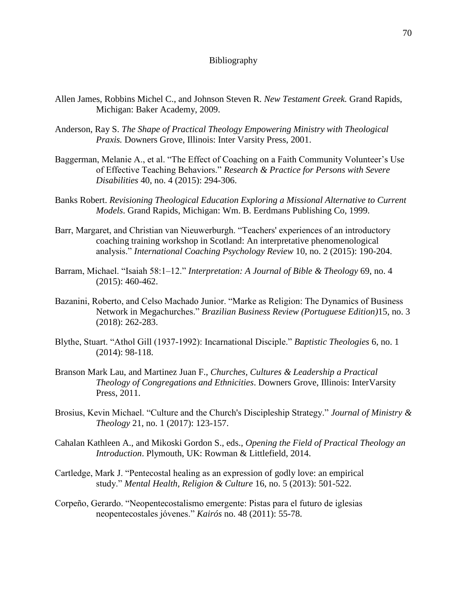## Bibliography

- Allen James, Robbins Michel C., and Johnson Steven R. *New Testament Greek.* Grand Rapids, Michigan: Baker Academy, 2009.
- Anderson, Ray S. *The Shape of Practical Theology Empowering Ministry with Theological Praxis.* Downers Grove, Illinois: Inter Varsity Press, 2001.
- Baggerman, Melanie A., et al. "The Effect of Coaching on a Faith Community Volunteer's Use of Effective Teaching Behaviors." *Research & Practice for Persons with Severe Disabilities* 40, no. 4 (2015): 294-306.
- Banks Robert. *Revisioning Theological Education Exploring a Missional Alternative to Current Models*. Grand Rapids, Michigan: Wm. B. Eerdmans Publishing Co, 1999.
- Barr, Margaret, and Christian van Nieuwerburgh. "Teachers' experiences of an introductory coaching training workshop in Scotland: An interpretative phenomenological analysis." *International Coaching Psychology Review* 10, no. 2 (2015): 190-204.
- Barram, Michael. "Isaiah 58:1–12." *Interpretation: A Journal of Bible & Theology* 69, no. 4 (2015): 460-462.
- Bazanini, Roberto, and Celso Machado Junior. "Marke as Religion: The Dynamics of Business Network in Megachurches." *Brazilian Business Review (Portuguese Edition)*15, no. 3 (2018): 262-283.
- Blythe, Stuart. "Athol Gill (1937-1992): Incarnational Disciple." *Baptistic Theologies* 6, no. 1 (2014): 98-118.
- Branson Mark Lau, and Martinez Juan F., *Churches, Cultures & Leadership a Practical Theology of Congregations and Ethnicities*. Downers Grove, Illinois: InterVarsity Press, 2011.
- Brosius, Kevin Michael. "Culture and the Church's Discipleship Strategy." *Journal of Ministry & Theology* 21, no. 1 (2017): 123-157.
- Cahalan Kathleen A., and Mikoski Gordon S., eds., *Opening the Field of Practical Theology an Introduction*. Plymouth, UK: Rowman & Littlefield, 2014.
- Cartledge, Mark J. "Pentecostal healing as an expression of godly love: an empirical study." *Mental Health, Religion & Culture* 16, no. 5 (2013): 501-522.
- Corpeño, Gerardo. "Neopentecostalismo emergente: Pistas para el futuro de iglesias neopentecostales jóvenes." *Kairós* no. 48 (2011): 55-78.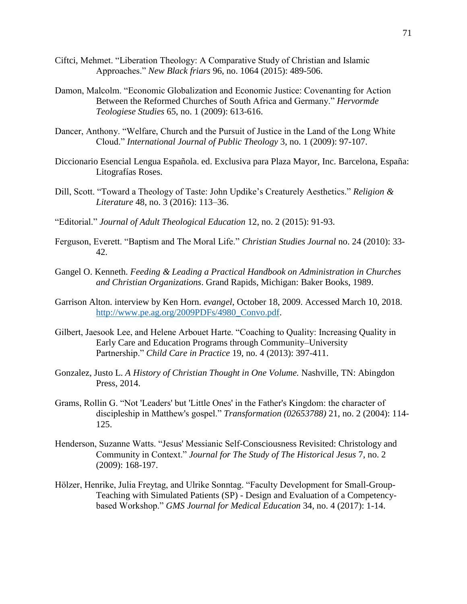- Ciftci, Mehmet. "Liberation Theology: A Comparative Study of Christian and Islamic Approaches." *New Black friars* 96, no. 1064 (2015): 489-506.
- Damon, Malcolm. "Economic Globalization and Economic Justice: Covenanting for Action Between the Reformed Churches of South Africa and Germany." *Hervormde Teologiese Studies* 65, no. 1 (2009): 613-616.
- Dancer, Anthony. "Welfare, Church and the Pursuit of Justice in the Land of the Long White Cloud." *International Journal of Public Theology* 3, no. 1 (2009): 97-107.
- Diccionario Esencial Lengua Española. ed. Exclusiva para Plaza Mayor, Inc. Barcelona, España: Litografías Roses.
- Dill, Scott. "Toward a Theology of Taste: John Updike's Creaturely Aesthetics." *Religion & Literature* 48, no. 3 (2016): 113–36.
- "Editorial." *Journal of Adult Theological Education* 12, no. 2 (2015): 91-93.
- Ferguson, Everett. "Baptism and The Moral Life." *Christian Studies Journal* no. 24 (2010): 33- 42.
- Gangel O. Kenneth. *Feeding & Leading a Practical Handbook on Administration in Churches and Christian Organizations*. Grand Rapids, Michigan: Baker Books, 1989.
- Garrison Alton. interview by Ken Horn. *evangel,* October 18, 2009. Accessed March 10, 2018. [http://www.pe.ag.org/2009PDFs/4980\\_Convo.pdf.](http://www.pe.ag.org/2009PDFs/4980_Convo.pdf)
- Gilbert, Jaesook Lee, and Helene Arbouet Harte. "Coaching to Quality: Increasing Quality in Early Care and Education Programs through Community–University Partnership." *Child Care in Practice* 19, no. 4 (2013): 397-411.
- Gonzalez, Justo L. *A History of Christian Thought in One Volume.* Nashville, TN: Abingdon Press, 2014.
- Grams, Rollin G. "Not 'Leaders' but 'Little Ones' in the Father's Kingdom: the character of discipleship in Matthew's gospel." *Transformation (02653788)* 21, no. 2 (2004): 114- 125.
- Henderson, Suzanne Watts. "Jesus' Messianic Self-Consciousness Revisited: Christology and Community in Context." *Journal for The Study of The Historical Jesus* 7, no. 2 (2009): 168-197.
- Hölzer, Henrike, Julia Freytag, and Ulrike Sonntag. "Faculty Development for Small-Group-Teaching with Simulated Patients (SP) - Design and Evaluation of a Competencybased Workshop." *GMS Journal for Medical Education* 34, no. 4 (2017): 1-14.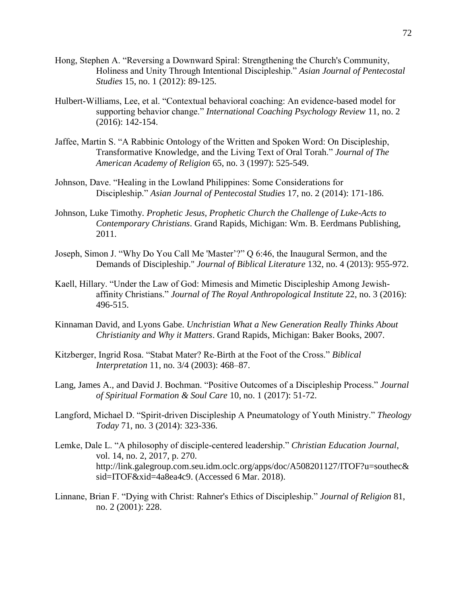- Hong, Stephen A. "Reversing a Downward Spiral: Strengthening the Church's Community, Holiness and Unity Through Intentional Discipleship." *Asian Journal of Pentecostal Studies* 15, no. 1 (2012): 89-125.
- Hulbert-Williams, Lee, et al. "Contextual behavioral coaching: An evidence-based model for supporting behavior change." *International Coaching Psychology Review* 11, no. 2 (2016): 142-154.
- Jaffee, Martin S. "A Rabbinic Ontology of the Written and Spoken Word: On Discipleship, Transformative Knowledge, and the Living Text of Oral Torah." *Journal of The American Academy of Religion* 65, no. 3 (1997): 525-549.
- Johnson, Dave. "Healing in the Lowland Philippines: Some Considerations for Discipleship." *Asian Journal of Pentecostal Studies* 17, no. 2 (2014): 171-186.
- Johnson, Luke Timothy. *Prophetic Jesus, Prophetic Church the Challenge of Luke-Acts to Contemporary Christians*. Grand Rapids, Michigan: Wm. B. Eerdmans Publishing, 2011.
- Joseph, Simon J. "Why Do You Call Me 'Master'?" Q 6:46, the Inaugural Sermon, and the Demands of Discipleship." *Journal of Biblical Literature* 132, no. 4 (2013): 955-972.
- Kaell, Hillary. "Under the Law of God: Mimesis and Mimetic Discipleship Among Jewishaffinity Christians." *Journal of The Royal Anthropological Institute* 22, no. 3 (2016): 496-515.
- Kinnaman David, and Lyons Gabe. *Unchristian What a New Generation Really Thinks About Christianity and Why it Matters*. Grand Rapids, Michigan: Baker Books, 2007.
- Kitzberger, Ingrid Rosa. "Stabat Mater? Re-Birth at the Foot of the Cross." *Biblical Interpretation* 11, no. 3/4 (2003): 468–87.
- Lang, James A., and David J. Bochman. "Positive Outcomes of a Discipleship Process." *Journal of Spiritual Formation & Soul Care* 10, no. 1 (2017): 51-72.
- Langford, Michael D. "Spirit-driven Discipleship A Pneumatology of Youth Ministry." *Theology Today* 71, no. 3 (2014): 323-336.
- Lemke, Dale L. "A philosophy of disciple-centered leadership." *Christian Education Journal*, vol. 14, no. 2, 2017, p. 270. http://link.galegroup.com.seu.idm.oclc.org/apps/doc/A508201127/ITOF?u=southec& sid=ITOF&xid=4a8ea4c9. (Accessed 6 Mar. 2018).
- Linnane, Brian F. "Dying with Christ: Rahner's Ethics of Discipleship." *Journal of Religion* 81, no. 2 (2001): 228.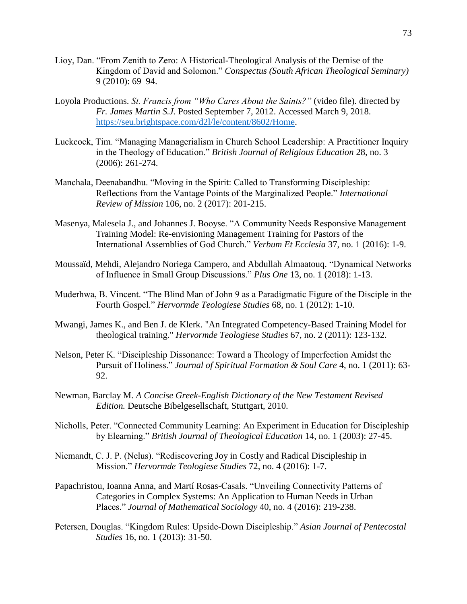- Lioy, Dan. "From Zenith to Zero: A Historical-Theological Analysis of the Demise of the Kingdom of David and Solomon." *Conspectus (South African Theological Seminary)* 9 (2010): 69–94.
- Loyola Productions. *St. Francis from "Who Cares About the Saints?"* (video file). directed by *Fr. James Martin S.J.* Posted September 7, 2012. Accessed March 9, 2018. [https://seu.brightspace.com/d2l/le/content/8602/Home.](https://seu.brightspace.com/d2l/le/content/8602/Home)
- Luckcock, Tim. "Managing Managerialism in Church School Leadership: A Practitioner Inquiry in the Theology of Education." *British Journal of Religious Education* 28, no. 3 (2006): 261-274.
- Manchala, Deenabandhu. "Moving in the Spirit: Called to Transforming Discipleship: Reflections from the Vantage Points of the Marginalized People." *International Review of Mission* 106, no. 2 (2017): 201-215.
- Masenya, Malesela J., and Johannes J. Booyse. "A Community Needs Responsive Management Training Model: Re-envisioning Management Training for Pastors of the International Assemblies of God Church." *Verbum Et Ecclesia* 37, no. 1 (2016): 1-9.
- Moussaïd, Mehdi, Alejandro Noriega Campero, and Abdullah Almaatouq. "Dynamical Networks of Influence in Small Group Discussions." *Plus One* 13, no. 1 (2018): 1-13.
- Muderhwa, B. Vincent. "The Blind Man of John 9 as a Paradigmatic Figure of the Disciple in the Fourth Gospel." *Hervormde Teologiese Studies* 68, no. 1 (2012): 1-10.
- Mwangi, James K., and Ben J. de Klerk. "An Integrated Competency-Based Training Model for theological training." *Hervormde Teologiese Studies* 67, no. 2 (2011): 123-132.
- Nelson, Peter K. "Discipleship Dissonance: Toward a Theology of Imperfection Amidst the Pursuit of Holiness." *Journal of Spiritual Formation & Soul Care* 4, no. 1 (2011): 63- 92.
- Newman, Barclay M. *A Concise Greek-English Dictionary of the New Testament Revised Edition.* Deutsche Bibelgesellschaft, Stuttgart, 2010.
- Nicholls, Peter. "Connected Community Learning: An Experiment in Education for Discipleship by Elearning." *British Journal of Theological Education* 14, no. 1 (2003): 27-45.
- Niemandt, C. J. P. (Nelus). "Rediscovering Joy in Costly and Radical Discipleship in Mission." *Hervormde Teologiese Studies* 72, no. 4 (2016): 1-7.
- Papachristou, Ioanna Anna, and Martí Rosas-Casals. "Unveiling Connectivity Patterns of Categories in Complex Systems: An Application to Human Needs in Urban Places." *Journal of Mathematical Sociology* 40, no. 4 (2016): 219-238.
- Petersen, Douglas. "Kingdom Rules: Upside-Down Discipleship." *Asian Journal of Pentecostal Studies* 16, no. 1 (2013): 31-50.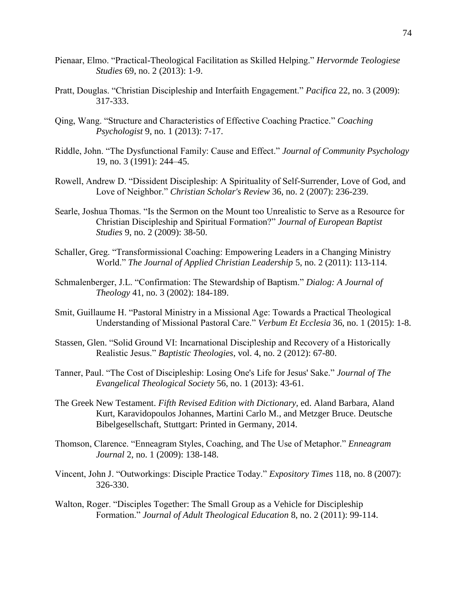- Pienaar, Elmo. "Practical-Theological Facilitation as Skilled Helping." *Hervormde Teologiese Studies* 69, no. 2 (2013): 1-9.
- Pratt, Douglas. "Christian Discipleship and Interfaith Engagement." *Pacifica* 22, no. 3 (2009): 317-333.
- Qing, Wang. "Structure and Characteristics of Effective Coaching Practice." *Coaching Psychologist* 9, no. 1 (2013): 7-17.
- Riddle, John. "The Dysfunctional Family: Cause and Effect." *Journal of Community Psychology* 19, no. 3 (1991): 244–45.
- Rowell, Andrew D. "Dissident Discipleship: A Spirituality of Self-Surrender, Love of God, and Love of Neighbor." *Christian Scholar's Review* 36, no. 2 (2007): 236-239.
- Searle, Joshua Thomas. "Is the Sermon on the Mount too Unrealistic to Serve as a Resource for Christian Discipleship and Spiritual Formation?" *Journal of European Baptist Studies* 9, no. 2 (2009): 38-50.
- Schaller, Greg. "Transformissional Coaching: Empowering Leaders in a Changing Ministry World." *The Journal of Applied Christian Leadership* 5, no. 2 (2011): 113-114.
- Schmalenberger, J.L. "Confirmation: The Stewardship of Baptism." *Dialog: A Journal of Theology* 41, no. 3 (2002): 184-189.
- Smit, Guillaume H. "Pastoral Ministry in a Missional Age: Towards a Practical Theological Understanding of Missional Pastoral Care." *Verbum Et Ecclesia* 36, no. 1 (2015): 1-8.
- Stassen, Glen. "Solid Ground VI: Incarnational Discipleship and Recovery of a Historically Realistic Jesus." *Baptistic Theologies*, vol. 4, no. 2 (2012): 67-80.
- Tanner, Paul. "The Cost of Discipleship: Losing One's Life for Jesus' Sake." *Journal of The Evangelical Theological Society* 56, no. 1 (2013): 43-61.
- The Greek New Testament. *Fifth Revised Edition with Dictionary,* ed. Aland Barbara, Aland Kurt, Karavidopoulos Johannes, Martini Carlo M., and Metzger Bruce. Deutsche Bibelgesellschaft, Stuttgart: Printed in Germany, 2014.
- Thomson, Clarence. "Enneagram Styles, Coaching, and The Use of Metaphor." *Enneagram Journal* 2, no. 1 (2009): 138-148.
- Vincent, John J. "Outworkings: Disciple Practice Today." *Expository Times* 118, no. 8 (2007): 326-330.
- Walton, Roger. "Disciples Together: The Small Group as a Vehicle for Discipleship Formation." *Journal of Adult Theological Education* 8, no. 2 (2011): 99-114.